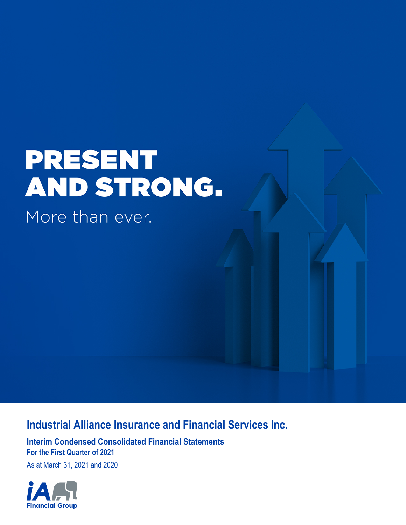# **PRESENT** AND STRONG.

More than ever.

# **Industrial Alliance Insurance and Financial Services Inc.**

**Interim Condensed Consolidated Financial Statements For the First Quarter of 2021**

As at March 31, 2021 and 2020

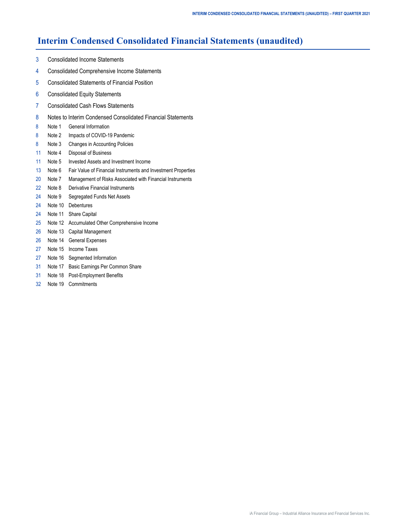## **Interim Condensed Consolidated Financial Statements (unaudited)**

- [3 Consolidated Income Statements](#page-2-0)
- [4 Consolidated Comprehensive Income Statements](#page-3-0)
- [5 Consolidated Statements of Financial Position](#page-4-0)
- [6 Consolidated Equity Statements](#page-5-0)
- [7 Consolidated Cash Flows Statements](#page-6-0)
- [8](#page-7-0) [Notes to Interim Condensed Consolidated Financial Statements](#page-7-0)
- [8 Note 1 General Information](#page-7-0)
- [8 Note](#page-7-0) 2 [Impacts of COVID-19 Pandemic](#page-7-0)
- [8 Note](#page-7-0) 3 [Changes in Accounting Policies](#page-7-0)
- [11 Note 4 Disposal of Business](#page-10-0)
- [11 Note 5 Invested Assets and Investment Income](#page-10-0)
- [13 Note 6 Fair Value of Financial Instruments and Investment Properties](#page-12-0)
- [20 Note 7 Management of Risks Associated with Financial Instruments](#page-19-0)
- [22 Note 8 Derivative Financial Instruments](#page-21-0)
- [24](#page-23-0) [Note 9](#page-23-0) [Segregated Funds Net Assets](#page-23-0)
- [24 Note 1](#page-23-0)0 [Debentures](#page-23-0)
- [24 Note 1](#page-23-0)1 [Share Capital](#page-23-0)
- [25 Note 1](#page-24-0)2 [Accumulated Other Comprehensive Income](#page-24-0)
- [26 Note 1](#page-25-0)3 [Capital Management](#page-25-0)
- [26 Note 1](#page-25-0)4 [General Expenses](#page-25-0)
- [27 Note 1](#page-26-0)5 [Income Taxes](#page-26-0)
- [27 Note 1](#page-26-0)6 [Segmented Information](#page-26-0)
- [31 Note 1](#page-30-0)7 [Basic Earnings Per Common Share](#page-30-0)
- [31 Note 1](#page-30-0)8 [Post-Employment Benefits](#page-30-0)
- [32](#page-31-0) [Note 1](#page-31-0)9 [Commitments](#page-31-0)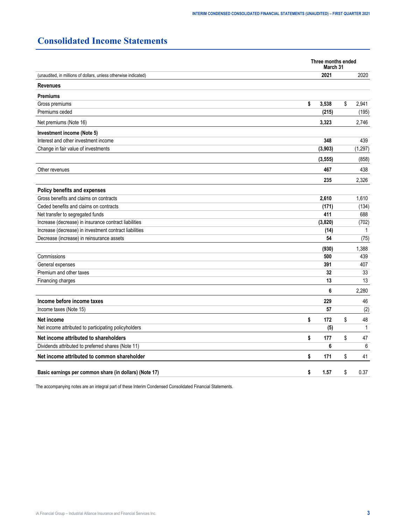# <span id="page-2-0"></span>**Consolidated Income Statements**

|                                                                 | Three months ended<br>March 31 |          |    |              |  |  |
|-----------------------------------------------------------------|--------------------------------|----------|----|--------------|--|--|
| (unaudited, in millions of dollars, unless otherwise indicated) |                                | 2021     |    | 2020         |  |  |
| <b>Revenues</b>                                                 |                                |          |    |              |  |  |
| <b>Premiums</b>                                                 |                                |          |    |              |  |  |
| Gross premiums                                                  | \$                             | 3,538    | \$ | 2,941        |  |  |
| Premiums ceded                                                  |                                | (215)    |    | (195)        |  |  |
| Net premiums (Note 16)                                          |                                | 3,323    |    | 2,746        |  |  |
| Investment income (Note 5)                                      |                                |          |    |              |  |  |
| Interest and other investment income                            |                                | 348      |    | 439          |  |  |
| Change in fair value of investments                             |                                | (3,903)  |    | (1, 297)     |  |  |
|                                                                 |                                | (3, 555) |    | (858)        |  |  |
| Other revenues                                                  |                                | 467      |    | 438          |  |  |
|                                                                 |                                | 235      |    | 2,326        |  |  |
| <b>Policy benefits and expenses</b>                             |                                |          |    |              |  |  |
| Gross benefits and claims on contracts                          |                                | 2,610    |    | 1,610        |  |  |
| Ceded benefits and claims on contracts                          |                                | (171)    |    | (134)        |  |  |
| Net transfer to segregated funds                                |                                | 411      |    | 688          |  |  |
| Increase (decrease) in insurance contract liabilities           |                                | (3,820)  |    | (702)        |  |  |
| Increase (decrease) in investment contract liabilities          |                                | (14)     |    | 1            |  |  |
| Decrease (increase) in reinsurance assets                       |                                | 54       |    | (75)         |  |  |
|                                                                 |                                | (930)    |    | 1,388        |  |  |
| Commissions                                                     |                                | 500      |    | 439          |  |  |
| General expenses                                                |                                | 391      |    | 407          |  |  |
| Premium and other taxes                                         |                                | 32       |    | 33           |  |  |
| Financing charges                                               |                                | 13       |    | 13           |  |  |
|                                                                 |                                | 6        |    | 2.280        |  |  |
| Income before income taxes                                      |                                | 229      |    | 46           |  |  |
| Income taxes (Note 15)                                          |                                | 57       |    | (2)          |  |  |
| Net income                                                      | \$                             | 172      | \$ | 48           |  |  |
| Net income attributed to participating policyholders            |                                | (5)      |    | $\mathbf{1}$ |  |  |
| Net income attributed to shareholders                           | \$                             | 177      | \$ | 47           |  |  |
| Dividends attributed to preferred shares (Note 11)              |                                | 6        |    | 6            |  |  |
| Net income attributed to common shareholder                     | \$                             | 171      | \$ | 41           |  |  |
| Basic earnings per common share (in dollars) (Note 17)          | \$                             | 1.57     | \$ | 0.37         |  |  |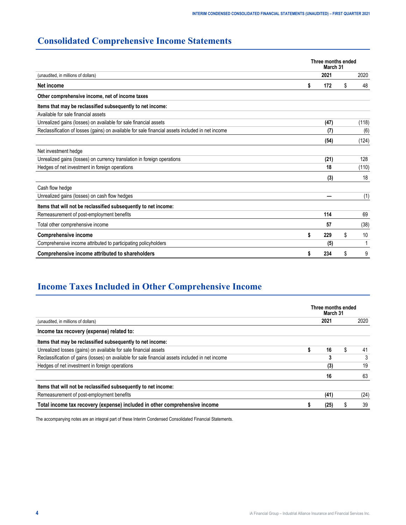# <span id="page-3-0"></span>**Consolidated Comprehensive Income Statements**

|                                                                                                  | Three months ended<br>March 31 |      |    |       |  |  |  |
|--------------------------------------------------------------------------------------------------|--------------------------------|------|----|-------|--|--|--|
| (unaudited, in millions of dollars)                                                              |                                | 2021 |    | 2020  |  |  |  |
| Net income                                                                                       |                                | 172  | \$ | 48    |  |  |  |
| Other comprehensive income, net of income taxes                                                  |                                |      |    |       |  |  |  |
| Items that may be reclassified subsequently to net income:                                       |                                |      |    |       |  |  |  |
| Available for sale financial assets                                                              |                                |      |    |       |  |  |  |
| Unrealized gains (losses) on available for sale financial assets                                 |                                | (47) |    | (118) |  |  |  |
| Reclassification of losses (gains) on available for sale financial assets included in net income |                                | (7)  |    | (6)   |  |  |  |
|                                                                                                  |                                | (54) |    | (124) |  |  |  |
| Net investment hedge                                                                             |                                |      |    |       |  |  |  |
| Unrealized gains (losses) on currency translation in foreign operations                          |                                | (21) |    | 128   |  |  |  |
| Hedges of net investment in foreign operations                                                   |                                | 18   |    | (110) |  |  |  |
|                                                                                                  |                                | (3)  |    | 18    |  |  |  |
| Cash flow hedge                                                                                  |                                |      |    |       |  |  |  |
| Unrealized gains (losses) on cash flow hedges                                                    |                                |      |    | (1)   |  |  |  |
| Items that will not be reclassified subsequently to net income:                                  |                                |      |    |       |  |  |  |
| Remeasurement of post-employment benefits                                                        |                                | 114  |    | 69    |  |  |  |
| Total other comprehensive income                                                                 |                                | 57   |    | (38)  |  |  |  |
| <b>Comprehensive income</b>                                                                      |                                | 229  | \$ | 10    |  |  |  |
| Comprehensive income attributed to participating policyholders                                   |                                | (5)  |    |       |  |  |  |
| Comprehensive income attributed to shareholders                                                  |                                | 234  | S  | 9     |  |  |  |

# **Income Taxes Included in Other Comprehensive Income**

|                                                                                                  | Three months ended<br>March 31 |      |  |      |  |  |  |  |
|--------------------------------------------------------------------------------------------------|--------------------------------|------|--|------|--|--|--|--|
| (unaudited, in millions of dollars)                                                              |                                | 2021 |  | 2020 |  |  |  |  |
| Income tax recovery (expense) related to:                                                        |                                |      |  |      |  |  |  |  |
| Items that may be reclassified subsequently to net income:                                       |                                |      |  |      |  |  |  |  |
| Unrealized losses (gains) on available for sale financial assets                                 |                                | 16   |  | 41   |  |  |  |  |
| Reclassification of gains (losses) on available for sale financial assets included in net income |                                | 3    |  |      |  |  |  |  |
| Hedges of net investment in foreign operations                                                   |                                | (3)  |  | 19   |  |  |  |  |
|                                                                                                  |                                | 16   |  | 63   |  |  |  |  |
| Items that will not be reclassified subsequently to net income:                                  |                                |      |  |      |  |  |  |  |
| Remeasurement of post-employment benefits                                                        |                                | (41) |  | (24) |  |  |  |  |
| Total income tax recovery (expense) included in other comprehensive income                       |                                | (25) |  | 39   |  |  |  |  |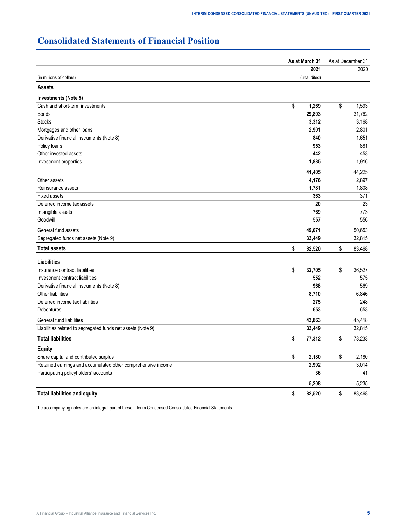# <span id="page-4-0"></span>**Consolidated Statements of Financial Position**

|                                                              | As at March 31 | As at December 31 |
|--------------------------------------------------------------|----------------|-------------------|
|                                                              | 2021           | 2020              |
| (in millions of dollars)                                     | (unaudited)    |                   |
| <b>Assets</b>                                                |                |                   |
| Investments (Note 5)                                         |                |                   |
| Cash and short-term investments                              | \$<br>1,269    | \$<br>1,593       |
| <b>Bonds</b>                                                 | 29,803         | 31,762            |
| <b>Stocks</b>                                                | 3,312          | 3,168             |
| Mortgages and other loans                                    | 2,901          | 2,801             |
| Derivative financial instruments (Note 8)                    | 840            | 1,651             |
| Policy loans                                                 | 953            | 881               |
| Other invested assets                                        | 442            | 453               |
| Investment properties                                        | 1,885          | 1,916             |
|                                                              | 41,405         | 44,225            |
| Other assets                                                 | 4,176          | 2,897             |
| Reinsurance assets                                           | 1,781          | 1,808             |
| <b>Fixed assets</b>                                          | 363            | 371               |
| Deferred income tax assets                                   | 20             | 23                |
| Intangible assets                                            | 769            | 773               |
| Goodwill                                                     | 557            | 556               |
| General fund assets                                          | 49,071         | 50,653            |
| Segregated funds net assets (Note 9)                         | 33,449         | 32,815            |
| <b>Total assets</b>                                          | \$<br>82,520   | \$<br>83,468      |
| <b>Liabilities</b>                                           |                |                   |
| Insurance contract liabilities                               | \$<br>32,705   | \$<br>36,527      |
| Investment contract liabilities                              | 552            | 575               |
| Derivative financial instruments (Note 8)                    | 968            | 569               |
| Other liabilities                                            | 8,710          | 6,846             |
| Deferred income tax liabilities                              | 275            | 248               |
| Debentures                                                   | 653            | 653               |
| General fund liabilities                                     | 43,863         | 45,418            |
| Liabilities related to segregated funds net assets (Note 9)  | 33,449         | 32,815            |
| <b>Total liabilities</b>                                     | \$<br>77,312   | \$<br>78,233      |
| <b>Equity</b>                                                |                |                   |
| Share capital and contributed surplus                        | \$<br>2,180    | \$<br>2,180       |
| Retained earnings and accumulated other comprehensive income | 2,992          | 3,014             |
| Participating policyholders' accounts                        | 36             | 41                |
|                                                              | 5,208          | 5,235             |
| <b>Total liabilities and equity</b>                          | \$<br>82,520   | \$<br>83,468      |
|                                                              |                |                   |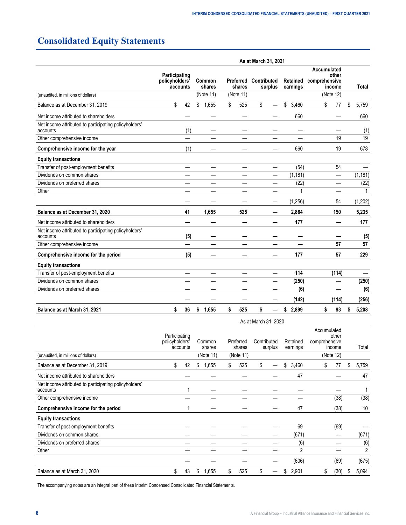# <span id="page-5-0"></span>**Consolidated Equity Statements**

|                                                                   | As at March 31, 2021 |                                                                 |             |           |           |                        |                      |                                                 |              |  |  |  |
|-------------------------------------------------------------------|----------------------|-----------------------------------------------------------------|-------------|-----------|-----------|------------------------|----------------------|-------------------------------------------------|--------------|--|--|--|
|                                                                   |                      | Participating<br>policyholders'<br>Common<br>shares<br>accounts |             | Preferred | shares    | Contributed<br>surplus | Retained<br>earnings | Accumulated<br>other<br>comprehensive<br>income | <b>Total</b> |  |  |  |
| (unaudited, in millions of dollars)                               |                      |                                                                 | (Note 11)   |           | (Note 11) |                        |                      | (Note 12)                                       |              |  |  |  |
| Balance as at December 31, 2019                                   | \$                   | 42                                                              | \$<br>1,655 | \$        | 525       | \$                     | \$<br>3,460          | \$<br>77                                        | \$<br>5,759  |  |  |  |
| Net income attributed to shareholders                             |                      |                                                                 |             |           |           |                        | 660                  |                                                 | 660          |  |  |  |
| Net income attributed to participating policyholders'<br>accounts |                      | (1)                                                             |             |           |           |                        |                      |                                                 | (1)          |  |  |  |
| Other comprehensive income                                        |                      |                                                                 |             |           |           |                        |                      | 19                                              | 19           |  |  |  |
| Comprehensive income for the year                                 |                      | (1)                                                             |             |           |           |                        | 660                  | 19                                              | 678          |  |  |  |
| <b>Equity transactions</b>                                        |                      |                                                                 |             |           |           |                        |                      |                                                 |              |  |  |  |
| Transfer of post-employment benefits                              |                      |                                                                 |             |           |           | —                      | (54)                 | 54                                              |              |  |  |  |
| Dividends on common shares                                        |                      |                                                                 |             |           |           | —                      | (1, 181)             | —                                               | (1, 181)     |  |  |  |
| Dividends on preferred shares                                     |                      |                                                                 |             |           |           |                        | (22)                 |                                                 | (22)         |  |  |  |
| Other                                                             |                      |                                                                 |             |           |           |                        | 1                    |                                                 | 1            |  |  |  |
|                                                                   |                      |                                                                 |             |           |           |                        | (1,256)              | 54                                              | (1,202)      |  |  |  |
| Balance as at December 31, 2020                                   |                      | 41                                                              | 1,655       |           | 525       |                        | 2,864                | 150                                             | 5,235        |  |  |  |
| Net income attributed to shareholders                             |                      |                                                                 |             |           |           |                        | 177                  |                                                 | 177          |  |  |  |
| Net income attributed to participating policyholders'<br>accounts |                      | (5)                                                             |             |           |           |                        |                      |                                                 | (5)          |  |  |  |
| Other comprehensive income                                        |                      |                                                                 |             |           |           |                        |                      | 57                                              | 57           |  |  |  |
| Comprehensive income for the period                               |                      | (5)                                                             |             |           |           |                        | 177                  | 57                                              | 229          |  |  |  |
| <b>Equity transactions</b>                                        |                      |                                                                 |             |           |           |                        |                      |                                                 |              |  |  |  |
| Transfer of post-employment benefits                              |                      |                                                                 |             |           |           | —                      | 114                  | (114)                                           |              |  |  |  |
| Dividends on common shares                                        |                      |                                                                 |             |           |           |                        | (250)                |                                                 | (250)        |  |  |  |
| Dividends on preferred shares                                     |                      |                                                                 |             |           |           |                        | (6)                  |                                                 | (6)          |  |  |  |
|                                                                   |                      |                                                                 |             |           |           |                        | (142)                | (114)                                           | (256)        |  |  |  |
| Balance as at March 31, 2021                                      | \$                   | 36                                                              | 1,655<br>\$ | \$        | 525       | \$                     | 2,899<br>\$          | \$<br>93                                        | \$<br>5,208  |  |  |  |
|                                                                   |                      |                                                                 |             |           |           | As at March 31, 2020   |                      |                                                 |              |  |  |  |

|                                                                   | Participating<br>policyholders'<br>accounts |    |    | Common<br>shares |    | Preferred<br>shares |    | Contributed<br>surplus |    | Retained<br>earnings | comprehensive |    | Accumulated<br>other<br>income |    | Total |
|-------------------------------------------------------------------|---------------------------------------------|----|----|------------------|----|---------------------|----|------------------------|----|----------------------|---------------|----|--------------------------------|----|-------|
| (unaudited, in millions of dollars)                               |                                             |    |    | (Note 11)        |    | (Note 11)           |    |                        |    |                      |               |    | (Note 12)                      |    |       |
| Balance as at December 31, 2019                                   | \$                                          | 42 | \$ | 1,655            | S. | 525                 | \$ |                        | \$ | 3,460                |               | \$ | 77                             | \$ | 5,759 |
| Net income attributed to shareholders                             |                                             |    |    |                  |    |                     |    |                        |    | 47                   |               |    |                                |    | 47    |
| Net income attributed to participating policyholders'<br>accounts |                                             |    |    |                  |    |                     |    |                        |    |                      |               |    |                                |    |       |
| Other comprehensive income                                        |                                             |    |    |                  |    |                     |    |                        |    |                      |               |    | (38)                           |    | (38)  |
| Comprehensive income for the period                               |                                             |    |    |                  |    |                     |    |                        |    | 47                   |               |    | (38)                           |    | 10    |
| <b>Equity transactions</b>                                        |                                             |    |    |                  |    |                     |    |                        |    |                      |               |    |                                |    |       |
| Transfer of post-employment benefits                              |                                             |    |    |                  |    |                     |    |                        |    | 69                   |               |    | (69)                           |    |       |
| Dividends on common shares                                        |                                             |    |    |                  |    |                     |    |                        |    | (671)                |               |    |                                |    | (671) |
| Dividends on preferred shares                                     |                                             |    |    |                  |    |                     |    |                        |    | (6)                  |               |    |                                |    | (6)   |
| Other                                                             |                                             |    |    |                  |    |                     |    |                        |    | 2                    |               |    |                                |    | 2     |
|                                                                   |                                             |    |    |                  |    |                     |    |                        |    | (606)                |               |    | (69)                           |    | (675) |
| Balance as at March 31, 2020                                      | \$                                          | 43 | S  | 1,655            | \$ | 525                 | \$ |                        | \$ | 2,901                |               | \$ | (30)                           | S  | 5,094 |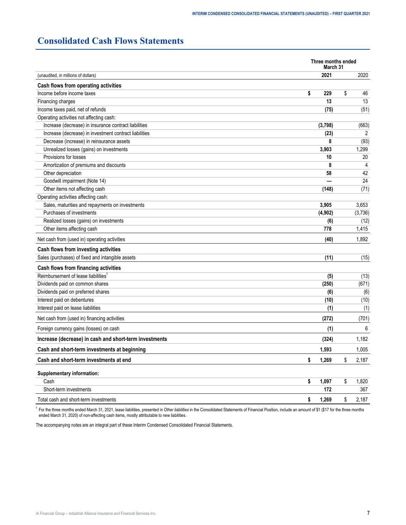## <span id="page-6-0"></span>**Consolidated Cash Flows Statements**

| 2021<br>2020<br>(unaudited, in millions of dollars)<br>Cash flows from operating activities<br>Income before income taxes<br>\$<br>229<br>\$<br>46<br>Financing charges<br>13<br>13<br>Income taxes paid, net of refunds<br>(51)<br>(75)<br>Operating activities not affecting cash:<br>Increase (decrease) in insurance contract liabilities<br>(3,798)<br>(663)<br>Increase (decrease) in investment contract liabilities<br>(23)<br>2<br>Decrease (increase) in reinsurance assets<br>8<br>(93)<br>Unrealized losses (gains) on investments<br>3,903<br>1,299<br>Provisions for losses<br>20<br>10<br>Amortization of premiums and discounts<br>8<br>4<br>42<br>Other depreciation<br>58<br>24<br>Goodwill impairment (Note 14)<br>Other items not affecting cash<br>(71)<br>(148)<br>Operating activities affecting cash:<br>Sales, maturities and repayments on investments<br>3,905<br>3,653<br>Purchases of investments<br>(4,902)<br>(3,736)<br>Realized losses (gains) on investments<br>(6)<br>(12)<br>Other items affecting cash<br>778<br>1,415<br>(40)<br>1,892<br>Net cash from (used in) operating activities<br>Cash flows from investing activities<br>Sales (purchases) of fixed and intangible assets<br>(11)<br>(15)<br>Cash flows from financing activities<br>Reimbursement of lease liabilities <sup>1</sup><br>(5)<br>(13)<br>Dividends paid on common shares<br>(250)<br>(671)<br>Dividends paid on preferred shares<br>(6)<br>(6)<br>Interest paid on debentures<br>(10)<br>(10)<br>Interest paid on lease liabilities<br>(1)<br>(1)<br>Net cash from (used in) financing activities<br>(272)<br>(701)<br>Foreign currency gains (losses) on cash<br>6<br>(1)<br>Increase (decrease) in cash and short-term investments<br>1,182<br>(324)<br>Cash and short-term investments at beginning<br>1,593<br>1,005<br>Cash and short-term investments at end<br>\$<br>1,269<br>\$<br>2,187<br>Supplementary information:<br>\$<br>Cash<br>\$<br>1,097<br>1,820<br>Short-term investments<br>172<br>367<br>Total cash and short-term investments<br>1,269<br>\$<br>\$<br>2,187 | Three months ended<br>March 31 |  |
|--------------------------------------------------------------------------------------------------------------------------------------------------------------------------------------------------------------------------------------------------------------------------------------------------------------------------------------------------------------------------------------------------------------------------------------------------------------------------------------------------------------------------------------------------------------------------------------------------------------------------------------------------------------------------------------------------------------------------------------------------------------------------------------------------------------------------------------------------------------------------------------------------------------------------------------------------------------------------------------------------------------------------------------------------------------------------------------------------------------------------------------------------------------------------------------------------------------------------------------------------------------------------------------------------------------------------------------------------------------------------------------------------------------------------------------------------------------------------------------------------------------------------------------------------------------------------------------------------------------------------------------------------------------------------------------------------------------------------------------------------------------------------------------------------------------------------------------------------------------------------------------------------------------------------------------------------------------------------------------------------------------------------------------------------------------------------------------------------|--------------------------------|--|
|                                                                                                                                                                                                                                                                                                                                                                                                                                                                                                                                                                                                                                                                                                                                                                                                                                                                                                                                                                                                                                                                                                                                                                                                                                                                                                                                                                                                                                                                                                                                                                                                                                                                                                                                                                                                                                                                                                                                                                                                                                                                                                  |                                |  |
|                                                                                                                                                                                                                                                                                                                                                                                                                                                                                                                                                                                                                                                                                                                                                                                                                                                                                                                                                                                                                                                                                                                                                                                                                                                                                                                                                                                                                                                                                                                                                                                                                                                                                                                                                                                                                                                                                                                                                                                                                                                                                                  |                                |  |
|                                                                                                                                                                                                                                                                                                                                                                                                                                                                                                                                                                                                                                                                                                                                                                                                                                                                                                                                                                                                                                                                                                                                                                                                                                                                                                                                                                                                                                                                                                                                                                                                                                                                                                                                                                                                                                                                                                                                                                                                                                                                                                  |                                |  |
|                                                                                                                                                                                                                                                                                                                                                                                                                                                                                                                                                                                                                                                                                                                                                                                                                                                                                                                                                                                                                                                                                                                                                                                                                                                                                                                                                                                                                                                                                                                                                                                                                                                                                                                                                                                                                                                                                                                                                                                                                                                                                                  |                                |  |
|                                                                                                                                                                                                                                                                                                                                                                                                                                                                                                                                                                                                                                                                                                                                                                                                                                                                                                                                                                                                                                                                                                                                                                                                                                                                                                                                                                                                                                                                                                                                                                                                                                                                                                                                                                                                                                                                                                                                                                                                                                                                                                  |                                |  |
|                                                                                                                                                                                                                                                                                                                                                                                                                                                                                                                                                                                                                                                                                                                                                                                                                                                                                                                                                                                                                                                                                                                                                                                                                                                                                                                                                                                                                                                                                                                                                                                                                                                                                                                                                                                                                                                                                                                                                                                                                                                                                                  |                                |  |
|                                                                                                                                                                                                                                                                                                                                                                                                                                                                                                                                                                                                                                                                                                                                                                                                                                                                                                                                                                                                                                                                                                                                                                                                                                                                                                                                                                                                                                                                                                                                                                                                                                                                                                                                                                                                                                                                                                                                                                                                                                                                                                  |                                |  |
|                                                                                                                                                                                                                                                                                                                                                                                                                                                                                                                                                                                                                                                                                                                                                                                                                                                                                                                                                                                                                                                                                                                                                                                                                                                                                                                                                                                                                                                                                                                                                                                                                                                                                                                                                                                                                                                                                                                                                                                                                                                                                                  |                                |  |
|                                                                                                                                                                                                                                                                                                                                                                                                                                                                                                                                                                                                                                                                                                                                                                                                                                                                                                                                                                                                                                                                                                                                                                                                                                                                                                                                                                                                                                                                                                                                                                                                                                                                                                                                                                                                                                                                                                                                                                                                                                                                                                  |                                |  |
|                                                                                                                                                                                                                                                                                                                                                                                                                                                                                                                                                                                                                                                                                                                                                                                                                                                                                                                                                                                                                                                                                                                                                                                                                                                                                                                                                                                                                                                                                                                                                                                                                                                                                                                                                                                                                                                                                                                                                                                                                                                                                                  |                                |  |
|                                                                                                                                                                                                                                                                                                                                                                                                                                                                                                                                                                                                                                                                                                                                                                                                                                                                                                                                                                                                                                                                                                                                                                                                                                                                                                                                                                                                                                                                                                                                                                                                                                                                                                                                                                                                                                                                                                                                                                                                                                                                                                  |                                |  |
|                                                                                                                                                                                                                                                                                                                                                                                                                                                                                                                                                                                                                                                                                                                                                                                                                                                                                                                                                                                                                                                                                                                                                                                                                                                                                                                                                                                                                                                                                                                                                                                                                                                                                                                                                                                                                                                                                                                                                                                                                                                                                                  |                                |  |
|                                                                                                                                                                                                                                                                                                                                                                                                                                                                                                                                                                                                                                                                                                                                                                                                                                                                                                                                                                                                                                                                                                                                                                                                                                                                                                                                                                                                                                                                                                                                                                                                                                                                                                                                                                                                                                                                                                                                                                                                                                                                                                  |                                |  |
|                                                                                                                                                                                                                                                                                                                                                                                                                                                                                                                                                                                                                                                                                                                                                                                                                                                                                                                                                                                                                                                                                                                                                                                                                                                                                                                                                                                                                                                                                                                                                                                                                                                                                                                                                                                                                                                                                                                                                                                                                                                                                                  |                                |  |
|                                                                                                                                                                                                                                                                                                                                                                                                                                                                                                                                                                                                                                                                                                                                                                                                                                                                                                                                                                                                                                                                                                                                                                                                                                                                                                                                                                                                                                                                                                                                                                                                                                                                                                                                                                                                                                                                                                                                                                                                                                                                                                  |                                |  |
|                                                                                                                                                                                                                                                                                                                                                                                                                                                                                                                                                                                                                                                                                                                                                                                                                                                                                                                                                                                                                                                                                                                                                                                                                                                                                                                                                                                                                                                                                                                                                                                                                                                                                                                                                                                                                                                                                                                                                                                                                                                                                                  |                                |  |
|                                                                                                                                                                                                                                                                                                                                                                                                                                                                                                                                                                                                                                                                                                                                                                                                                                                                                                                                                                                                                                                                                                                                                                                                                                                                                                                                                                                                                                                                                                                                                                                                                                                                                                                                                                                                                                                                                                                                                                                                                                                                                                  |                                |  |
|                                                                                                                                                                                                                                                                                                                                                                                                                                                                                                                                                                                                                                                                                                                                                                                                                                                                                                                                                                                                                                                                                                                                                                                                                                                                                                                                                                                                                                                                                                                                                                                                                                                                                                                                                                                                                                                                                                                                                                                                                                                                                                  |                                |  |
|                                                                                                                                                                                                                                                                                                                                                                                                                                                                                                                                                                                                                                                                                                                                                                                                                                                                                                                                                                                                                                                                                                                                                                                                                                                                                                                                                                                                                                                                                                                                                                                                                                                                                                                                                                                                                                                                                                                                                                                                                                                                                                  |                                |  |
|                                                                                                                                                                                                                                                                                                                                                                                                                                                                                                                                                                                                                                                                                                                                                                                                                                                                                                                                                                                                                                                                                                                                                                                                                                                                                                                                                                                                                                                                                                                                                                                                                                                                                                                                                                                                                                                                                                                                                                                                                                                                                                  |                                |  |
|                                                                                                                                                                                                                                                                                                                                                                                                                                                                                                                                                                                                                                                                                                                                                                                                                                                                                                                                                                                                                                                                                                                                                                                                                                                                                                                                                                                                                                                                                                                                                                                                                                                                                                                                                                                                                                                                                                                                                                                                                                                                                                  |                                |  |
|                                                                                                                                                                                                                                                                                                                                                                                                                                                                                                                                                                                                                                                                                                                                                                                                                                                                                                                                                                                                                                                                                                                                                                                                                                                                                                                                                                                                                                                                                                                                                                                                                                                                                                                                                                                                                                                                                                                                                                                                                                                                                                  |                                |  |
|                                                                                                                                                                                                                                                                                                                                                                                                                                                                                                                                                                                                                                                                                                                                                                                                                                                                                                                                                                                                                                                                                                                                                                                                                                                                                                                                                                                                                                                                                                                                                                                                                                                                                                                                                                                                                                                                                                                                                                                                                                                                                                  |                                |  |
|                                                                                                                                                                                                                                                                                                                                                                                                                                                                                                                                                                                                                                                                                                                                                                                                                                                                                                                                                                                                                                                                                                                                                                                                                                                                                                                                                                                                                                                                                                                                                                                                                                                                                                                                                                                                                                                                                                                                                                                                                                                                                                  |                                |  |
|                                                                                                                                                                                                                                                                                                                                                                                                                                                                                                                                                                                                                                                                                                                                                                                                                                                                                                                                                                                                                                                                                                                                                                                                                                                                                                                                                                                                                                                                                                                                                                                                                                                                                                                                                                                                                                                                                                                                                                                                                                                                                                  |                                |  |
|                                                                                                                                                                                                                                                                                                                                                                                                                                                                                                                                                                                                                                                                                                                                                                                                                                                                                                                                                                                                                                                                                                                                                                                                                                                                                                                                                                                                                                                                                                                                                                                                                                                                                                                                                                                                                                                                                                                                                                                                                                                                                                  |                                |  |
|                                                                                                                                                                                                                                                                                                                                                                                                                                                                                                                                                                                                                                                                                                                                                                                                                                                                                                                                                                                                                                                                                                                                                                                                                                                                                                                                                                                                                                                                                                                                                                                                                                                                                                                                                                                                                                                                                                                                                                                                                                                                                                  |                                |  |
|                                                                                                                                                                                                                                                                                                                                                                                                                                                                                                                                                                                                                                                                                                                                                                                                                                                                                                                                                                                                                                                                                                                                                                                                                                                                                                                                                                                                                                                                                                                                                                                                                                                                                                                                                                                                                                                                                                                                                                                                                                                                                                  |                                |  |
|                                                                                                                                                                                                                                                                                                                                                                                                                                                                                                                                                                                                                                                                                                                                                                                                                                                                                                                                                                                                                                                                                                                                                                                                                                                                                                                                                                                                                                                                                                                                                                                                                                                                                                                                                                                                                                                                                                                                                                                                                                                                                                  |                                |  |
|                                                                                                                                                                                                                                                                                                                                                                                                                                                                                                                                                                                                                                                                                                                                                                                                                                                                                                                                                                                                                                                                                                                                                                                                                                                                                                                                                                                                                                                                                                                                                                                                                                                                                                                                                                                                                                                                                                                                                                                                                                                                                                  |                                |  |
|                                                                                                                                                                                                                                                                                                                                                                                                                                                                                                                                                                                                                                                                                                                                                                                                                                                                                                                                                                                                                                                                                                                                                                                                                                                                                                                                                                                                                                                                                                                                                                                                                                                                                                                                                                                                                                                                                                                                                                                                                                                                                                  |                                |  |
|                                                                                                                                                                                                                                                                                                                                                                                                                                                                                                                                                                                                                                                                                                                                                                                                                                                                                                                                                                                                                                                                                                                                                                                                                                                                                                                                                                                                                                                                                                                                                                                                                                                                                                                                                                                                                                                                                                                                                                                                                                                                                                  |                                |  |
|                                                                                                                                                                                                                                                                                                                                                                                                                                                                                                                                                                                                                                                                                                                                                                                                                                                                                                                                                                                                                                                                                                                                                                                                                                                                                                                                                                                                                                                                                                                                                                                                                                                                                                                                                                                                                                                                                                                                                                                                                                                                                                  |                                |  |
|                                                                                                                                                                                                                                                                                                                                                                                                                                                                                                                                                                                                                                                                                                                                                                                                                                                                                                                                                                                                                                                                                                                                                                                                                                                                                                                                                                                                                                                                                                                                                                                                                                                                                                                                                                                                                                                                                                                                                                                                                                                                                                  |                                |  |
|                                                                                                                                                                                                                                                                                                                                                                                                                                                                                                                                                                                                                                                                                                                                                                                                                                                                                                                                                                                                                                                                                                                                                                                                                                                                                                                                                                                                                                                                                                                                                                                                                                                                                                                                                                                                                                                                                                                                                                                                                                                                                                  |                                |  |
|                                                                                                                                                                                                                                                                                                                                                                                                                                                                                                                                                                                                                                                                                                                                                                                                                                                                                                                                                                                                                                                                                                                                                                                                                                                                                                                                                                                                                                                                                                                                                                                                                                                                                                                                                                                                                                                                                                                                                                                                                                                                                                  |                                |  |
|                                                                                                                                                                                                                                                                                                                                                                                                                                                                                                                                                                                                                                                                                                                                                                                                                                                                                                                                                                                                                                                                                                                                                                                                                                                                                                                                                                                                                                                                                                                                                                                                                                                                                                                                                                                                                                                                                                                                                                                                                                                                                                  |                                |  |
|                                                                                                                                                                                                                                                                                                                                                                                                                                                                                                                                                                                                                                                                                                                                                                                                                                                                                                                                                                                                                                                                                                                                                                                                                                                                                                                                                                                                                                                                                                                                                                                                                                                                                                                                                                                                                                                                                                                                                                                                                                                                                                  |                                |  |

<sup>1</sup> For the three months ended March 31, 2021, lease liabilities, presented in *Other liabilities* in the Consolidated Statements of Financial Position, include an amount of \$1 (\$17 for the three months ended March 31, 2020) of non-affecting cash items, mostly attributable to new liabilities.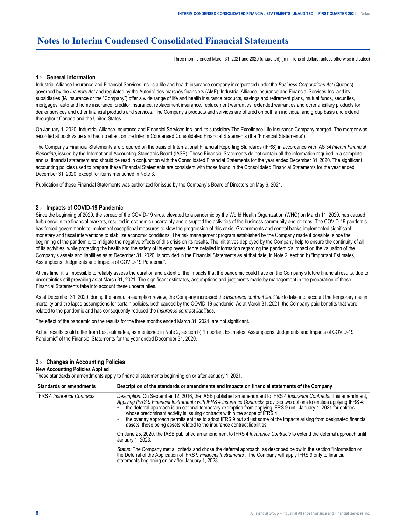## <span id="page-7-0"></span>**Notes to Interim Condensed Consolidated Financial Statements**

Three months ended March 31, 2021 and 2020 (unaudited) (in millions of dollars, unless otherwise indicated)

#### **1 › General Information**

Industrial Alliance Insurance and Financial Services Inc. is a life and health insurance company incorporated under the *Business Corporations Act* (Quebec), governed by the *Insurers Act* and regulated by the Autorité des marchés financiers (AMF). Industrial Alliance Insurance and Financial Services Inc. and its subsidiaries (iA Insurance or the "Company") offer a wide range of life and health insurance products, savings and retirement plans, mutual funds, securities, mortgages, auto and home insurance, creditor insurance, replacement insurance, replacement warranties, extended warranties and other ancillary products for dealer services and other financial products and services. The Company's products and services are offered on both an individual and group basis and extend throughout Canada and the United States.

On January 1, 2020, Industrial Alliance Insurance and Financial Services Inc. and its subsidiary The Excellence Life Insurance Company merged. The merger was recorded at book value and had no effect on the Interim Condensed Consolidated Financial Statements (the "Financial Statements").

The Company's Financial Statements are prepared on the basis of International Financial Reporting Standards (IFRS) in accordance with IAS 34 *Interim Financial Reporting*, issued by the International Accounting Standards Board (IASB). These Financial Statements do not contain all the information required in a complete annual financial statement and should be read in conjunction with the Consolidated Financial Statements for the year ended December 31, 2020. The significant accounting policies used to prepare these Financial Statements are consistent with those found in the Consolidated Financial Statements for the year ended December 31, 2020, except for items mentioned in Note 3.

Publication of these Financial Statements was authorized for issue by the Company's Board of Directors on May 6, 2021.

#### **2 › Impacts of COVID-19 Pandemic**

Since the beginning of 2020, the spread of the COVID-19 virus, elevated to a pandemic by the World Health Organization (WHO) on March 11, 2020, has caused turbulence in the financial markets, resulted in economic uncertainty and disrupted the activities of the business community and citizens. The COVID-19 pandemic has forced governments to implement exceptional measures to slow the progression of this crisis. Governments and central banks implemented significant monetary and fiscal interventions to stabilize economic conditions. The risk management program established by the Company made it possible, since the beginning of the pandemic, to mitigate the negative effects of this crisis on its results. The initiatives deployed by the Company help to ensure the continuity of all of its activities, while protecting the health and the safety of its employees. More detailed information regarding the pandemic's impact on the valuation of the Company's assets and liabilities as at December 31, 2020, is provided in the Financial Statements as at that date, in Note 2, section b) "Important Estimates, Assumptions, Judgments and Impacts of COVID-19 Pandemic".

At this time, it is impossible to reliably assess the duration and extent of the impacts that the pandemic could have on the Company's future financial results, due to uncertainties still prevailing as at March 31, 2021. The significant estimates, assumptions and judgments made by management in the preparation of these Financial Statements take into account these uncertainties.

As at December 31, 2020, during the annual assumption review, the Company increased the *Insurance contract liabilities* to take into account the temporary rise in mortality and the lapse assumptions for certain policies, both caused by the COVID-19 pandemic. As at March 31, 2021, the Company paid benefits that were related to the pandemic and has consequently reduced the *Insurance contract liabilities*.

The effect of the pandemic on the results for the three months ended March 31, 2021, are not significant.

Actual results could differ from best estimates, as mentioned in Note 2, section b) "Important Estimates, Assumptions, Judgments and Impacts of COVID-19 Pandemic" of the Financial Statements for the year ended December 31, 2020.

#### **3 › Changes in Accounting Policies**

#### **New Accounting Policies Applied**

These standards or amendments apply to financial statements beginning on or after January 1, 2021.

| <b>Standards or amendments</b>    | Description of the standards or amendments and impacts on financial statements of the Company                                                                                                                                                                                                                                                                                                                                                                                                                                                                                                                                                            |
|-----------------------------------|----------------------------------------------------------------------------------------------------------------------------------------------------------------------------------------------------------------------------------------------------------------------------------------------------------------------------------------------------------------------------------------------------------------------------------------------------------------------------------------------------------------------------------------------------------------------------------------------------------------------------------------------------------|
| <b>IFRS 4 Insurance Contracts</b> | Description: On September 12, 2016, the IASB published an amendment to IFRS 4 Insurance Contracts. This amendment,<br>Applying IFRS 9 Financial Instruments with IFRS 4 Insurance Contracts, provides two options to entities applying IFRS 4:<br>the deferral approach is an optional temporary exemption from applying IFRS 9 until January 1, 2021 for entities<br>whose predominant activity is issuing contracts within the scope of IFRS 4;<br>the overlay approach permits entities to adopt IFRS 9 but adjust some of the impacts arising from designated financial<br>assets, those being assets related to the insurance contract liabilities. |
|                                   | On June 25, 2020, the IASB published an amendment to IFRS 4 <i>Insurance Contracts</i> to extend the deferral approach until<br>January 1, 2023.                                                                                                                                                                                                                                                                                                                                                                                                                                                                                                         |
|                                   | Status: The Company met all criteria and chose the deferral approach, as described below in the section "Information on<br>the Deferral of the Application of IFRS 9 Financial Instruments". The Company will apply IFRS 9 only to financial<br>statements beginning on or after January 1, 2023.                                                                                                                                                                                                                                                                                                                                                        |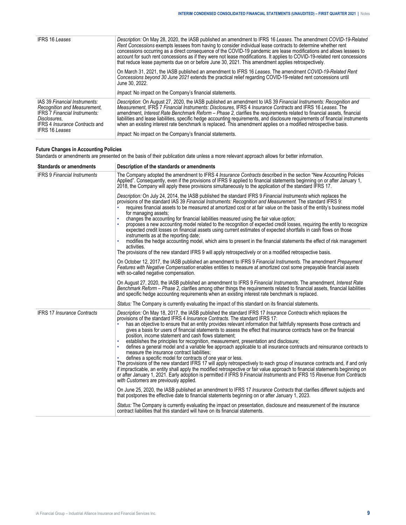| <b>IFRS 16 Leases</b>                                                                                                                                                                   | Description: On May 28, 2020, the IASB published an amendment to IFRS 16 Leases. The amendment COVID-19-Related<br>Rent Concessions exempts lessees from having to consider individual lease contracts to determine whether rent<br>concessions occurring as a direct consequence of the COVID-19 pandemic are lease modifications and allows lessees to<br>account for such rent concessions as if they were not lease modifications. It applies to COVID-19-related rent concessions<br>that reduce lease payments due on or before June 30, 2021. This amendment applies retrospectively.                                                                                       |
|-----------------------------------------------------------------------------------------------------------------------------------------------------------------------------------------|------------------------------------------------------------------------------------------------------------------------------------------------------------------------------------------------------------------------------------------------------------------------------------------------------------------------------------------------------------------------------------------------------------------------------------------------------------------------------------------------------------------------------------------------------------------------------------------------------------------------------------------------------------------------------------|
|                                                                                                                                                                                         | On March 31, 2021, the IASB published an amendment to IFRS 16 Leases. The amendment COVID-19-Related Rent<br>Concessions beyond 30 June 2021 extends the practical relief regarding COVID-19-related rent concessions until<br>June 30, 2022.<br><i>Impact:</i> No impact on the Company's financial statements.                                                                                                                                                                                                                                                                                                                                                                   |
| IAS 39 Financial Instruments:<br>Recognition and Measurement.<br><b>IFRS 7 Financial Instruments:</b><br>Disclosures.<br><b>IFRS 4 Insurance Contracts and</b><br><b>IFRS 16 Leases</b> | Description: On August 27, 2020, the IASB published an amendment to IAS 39 Financial Instruments: Recognition and<br>Measurement. IFRS 7 Financial Instruments: Disclosures. IFRS 4 Insurance Contracts and IFRS 16 Leases. The<br>amendment, Interest Rate Benchmark Reform - Phase 2, clarifies the requirements related to financial assets, financial<br>liabilities and lease liabilities, specific hedge accounting requirements, and disclosure requirements of financial instruments<br>when an existing interest rate benchmark is replaced. This amendment applies on a modified retrospective basis.<br><i>Impact:</i> No impact on the Company's financial statements. |

## **Future Changes in Accounting Policies**

Standards or amendments are presented on the basis of their publication date unless a more relevant approach allows for better information.

| <b>Standards or amendments</b>      | Description of the standards or amendments                                                                                                                                                                                                                                                                                                                                                                                                                                                                                                                                                                                                                                                                                                                                                                                                                                                                                                                                                                                                                                                                                                                                                                                                                                            |  |  |  |  |  |  |  |
|-------------------------------------|---------------------------------------------------------------------------------------------------------------------------------------------------------------------------------------------------------------------------------------------------------------------------------------------------------------------------------------------------------------------------------------------------------------------------------------------------------------------------------------------------------------------------------------------------------------------------------------------------------------------------------------------------------------------------------------------------------------------------------------------------------------------------------------------------------------------------------------------------------------------------------------------------------------------------------------------------------------------------------------------------------------------------------------------------------------------------------------------------------------------------------------------------------------------------------------------------------------------------------------------------------------------------------------|--|--|--|--|--|--|--|
| <b>IFRS 9 Financial Instruments</b> | The Company adopted the amendment to IFRS 4 Insurance Contracts described in the section "New Accounting Policies<br>Applied". Consequently, even if the provisions of IFRS 9 applied to financial statements beginning on or after January 1,<br>2018, the Company will apply these provisions simultaneously to the application of the standard IFRS 17.                                                                                                                                                                                                                                                                                                                                                                                                                                                                                                                                                                                                                                                                                                                                                                                                                                                                                                                            |  |  |  |  |  |  |  |
|                                     | Description: On July 24, 2014, the IASB published the standard IFRS 9 Financial Instruments which replaces the<br>provisions of the standard IAS 39 Financial Instruments: Recognition and Measurement. The standard IFRS 9:<br>requires financial assets to be measured at amortized cost or at fair value on the basis of the entity's business model<br>for managing assets;<br>changes the accounting for financial liabilities measured using the fair value option;<br>proposes a new accounting model related to the recognition of expected credit losses, requiring the entity to recognize<br>expected credit losses on financial assets using current estimates of expected shortfalls in cash flows on those<br>instruments as at the reporting date;<br>modifies the hedge accounting model, which aims to present in the financial statements the effect of risk management<br>activities.<br>The provisions of the new standard IFRS 9 will apply retrospectively or on a modified retrospective basis.                                                                                                                                                                                                                                                                |  |  |  |  |  |  |  |
|                                     | On October 12, 2017, the IASB published an amendment to IFRS 9 Financial Instruments. The amendment Prepayment<br>Features with Negative Compensation enables entities to measure at amortized cost some prepayable financial assets<br>with so-called negative compensation.                                                                                                                                                                                                                                                                                                                                                                                                                                                                                                                                                                                                                                                                                                                                                                                                                                                                                                                                                                                                         |  |  |  |  |  |  |  |
|                                     | On August 27, 2020, the IASB published an amendment to IFRS 9 Financial Instruments. The amendment, Interest Rate<br>Benchmark Reform – Phase 2, clarifies among other things the requirements related to financial assets, financial liabilities<br>and specific hedge accounting requirements when an existing interest rate benchmark is replaced.                                                                                                                                                                                                                                                                                                                                                                                                                                                                                                                                                                                                                                                                                                                                                                                                                                                                                                                                 |  |  |  |  |  |  |  |
|                                     | Status: The Company is currently evaluating the impact of this standard on its financial statements.                                                                                                                                                                                                                                                                                                                                                                                                                                                                                                                                                                                                                                                                                                                                                                                                                                                                                                                                                                                                                                                                                                                                                                                  |  |  |  |  |  |  |  |
| <b>IFRS 17 Insurance Contracts</b>  | Description: On May 18, 2017, the IASB published the standard IFRS 17 Insurance Contracts which replaces the<br>provisions of the standard IFRS 4 <i>Insurance Contracts</i> . The standard IFRS 17:<br>has an objective to ensure that an entity provides relevant information that faithfully represents those contracts and<br>gives a basis for users of financial statements to assess the effect that insurance contracts have on the financial<br>position, income statement and cash flows statement;<br>establishes the principles for recognition, measurement, presentation and disclosure;<br>defines a general model and a variable fee approach applicable to all insurance contracts and reinsurance contracts to<br>measure the insurance contract liabilities;<br>defines a specific model for contracts of one year or less.<br>The provisions of the new standard IFRS 17 will apply retrospectively to each group of insurance contracts and, if and only<br>if impracticable, an entity shall apply the modified retrospective or fair value approach to financial statements beginning on<br>or after January 1, 2021. Early adoption is permitted if IFRS 9 Financial Instruments and IFRS 15 Revenue from Contracts<br>with Customers are previously applied. |  |  |  |  |  |  |  |
|                                     | On June 25, 2020, the IASB published an amendment to IFRS 17 Insurance Contracts that clarifies different subjects and<br>that postpones the effective date to financial statements beginning on or after January 1, 2023.                                                                                                                                                                                                                                                                                                                                                                                                                                                                                                                                                                                                                                                                                                                                                                                                                                                                                                                                                                                                                                                            |  |  |  |  |  |  |  |
|                                     | Status: The Company is currently evaluating the impact on presentation, disclosure and measurement of the insurance<br>contract liabilities that this standard will have on its financial statements.                                                                                                                                                                                                                                                                                                                                                                                                                                                                                                                                                                                                                                                                                                                                                                                                                                                                                                                                                                                                                                                                                 |  |  |  |  |  |  |  |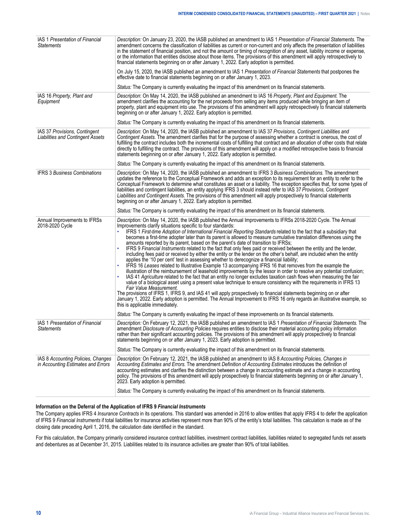| IAS 1 Presentation of Financial<br><b>Statements</b>                      | Description: On January 23, 2020, the IASB published an amendment to IAS 1 Presentation of Financial Statements. The<br>amendment concerns the classification of liabilities as current or non-current and only affects the presentation of liabilities<br>in the statement of financial position, and not the amount or timing of recognition of any asset, liability income or expense,<br>or the information that entities disclose about those items. The provisions of this amendment will apply retrospectively to<br>financial statements beginning on or after January 1, 2022. Early adoption is permitted.<br>On July 15, 2020, the IASB published an amendment to IAS 1 Presentation of Financial Statements that postpones the<br>effective date to financial statements beginning on or after January 1, 2023.                                                                                                                                                                                                                                                                                                                                                                                                                                                                                                                                                                                                                                                                                                                                                                                                                                            |
|---------------------------------------------------------------------------|------------------------------------------------------------------------------------------------------------------------------------------------------------------------------------------------------------------------------------------------------------------------------------------------------------------------------------------------------------------------------------------------------------------------------------------------------------------------------------------------------------------------------------------------------------------------------------------------------------------------------------------------------------------------------------------------------------------------------------------------------------------------------------------------------------------------------------------------------------------------------------------------------------------------------------------------------------------------------------------------------------------------------------------------------------------------------------------------------------------------------------------------------------------------------------------------------------------------------------------------------------------------------------------------------------------------------------------------------------------------------------------------------------------------------------------------------------------------------------------------------------------------------------------------------------------------------------------------------------------------------------------------------------------------|
|                                                                           | Status: The Company is currently evaluating the impact of this amendment on its financial statements.                                                                                                                                                                                                                                                                                                                                                                                                                                                                                                                                                                                                                                                                                                                                                                                                                                                                                                                                                                                                                                                                                                                                                                                                                                                                                                                                                                                                                                                                                                                                                                  |
| IAS 16 Property, Plant and<br>Equipment                                   | Description: On May 14, 2020, the IASB published an amendment to IAS 16 Property, Plant and Equipment. The<br>amendment clarifies the accounting for the net proceeds from selling any items produced while bringing an item of<br>property, plant and equipment into use. The provisions of this amendment will apply retrospectively to financial statements<br>beginning on or after January 1, 2022. Early adoption is permitted.                                                                                                                                                                                                                                                                                                                                                                                                                                                                                                                                                                                                                                                                                                                                                                                                                                                                                                                                                                                                                                                                                                                                                                                                                                  |
|                                                                           | Status: The Company is currently evaluating the impact of this amendment on its financial statements.                                                                                                                                                                                                                                                                                                                                                                                                                                                                                                                                                                                                                                                                                                                                                                                                                                                                                                                                                                                                                                                                                                                                                                                                                                                                                                                                                                                                                                                                                                                                                                  |
| IAS 37 Provisions, Contingent<br><b>Liabilities and Contingent Assets</b> | Description: On May 14, 2020, the IASB published an amendment to IAS 37 Provisions, Contingent Liabilities and<br>Contingent Assets. The amendment clarifies that for the purpose of assessing whether a contract is onerous, the cost of<br>fulfilling the contract includes both the incremental costs of fulfilling that contract and an allocation of other costs that relate<br>directly to fulfilling the contract. The provisions of this amendment will apply on a modified retrospective basis to financial<br>statements beginning on or after January 1, 2022. Early adoption is permitted.                                                                                                                                                                                                                                                                                                                                                                                                                                                                                                                                                                                                                                                                                                                                                                                                                                                                                                                                                                                                                                                                 |
|                                                                           | Status: The Company is currently evaluating the impact of this amendment on its financial statements.                                                                                                                                                                                                                                                                                                                                                                                                                                                                                                                                                                                                                                                                                                                                                                                                                                                                                                                                                                                                                                                                                                                                                                                                                                                                                                                                                                                                                                                                                                                                                                  |
| <b>IFRS 3 Business Combinations</b>                                       | Description: On May 14, 2020, the IASB published an amendment to IFRS 3 Business Combinations. The amendment<br>updates the reference to the Conceptual Framework and adds an exception to its requirement for an entity to refer to the<br>Conceptual Framework to determine what constitutes an asset or a liability. The exception specifies that, for some types of<br>liabilities and contingent liabilities, an entity applying IFRS 3 should instead refer to IAS 37 Provisions, Contingent<br>Liabilities and Contingent Assets. The provisions of this amendment will apply prospectively to financial statements<br>beginning on or after January 1, 2022. Early adoption is permitted.                                                                                                                                                                                                                                                                                                                                                                                                                                                                                                                                                                                                                                                                                                                                                                                                                                                                                                                                                                      |
|                                                                           | Status: The Company is currently evaluating the impact of this amendment on its financial statements.                                                                                                                                                                                                                                                                                                                                                                                                                                                                                                                                                                                                                                                                                                                                                                                                                                                                                                                                                                                                                                                                                                                                                                                                                                                                                                                                                                                                                                                                                                                                                                  |
| Annual Improvements to IFRSs<br>2018-2020 Cycle                           | Description: On May 14, 2020, the IASB published the Annual Improvements to IFRSs 2018-2020 Cycle. The Annual<br>Improvements clarify situations specific to four standards:<br>IFRS 1 First-time Adoption of International Financial Reporting Standards related to the fact that a subsidiary that<br>becomes a first-time adopter later than its parent is allowed to measure cumulative translation differences using the<br>amounts reported by its parent, based on the parent's date of transition to IFRSs;<br>IFRS 9 Financial Instruments related to the fact that only fees paid or received between the entity and the lender,<br>including fees paid or received by either the entity or the lender on the other's behalf, are included when the entity<br>applies the '10 per cent' test in assessing whether to derecognize a financial liability;<br>IFRS 16 Leases related to Illustrative Example 13 accompanying IFRS 16 that removes from the example the<br>illustration of the reimbursement of leasehold improvements by the lessor in order to resolve any potential confusion;<br>IAS 41 Agriculture related to the fact that an entity no longer excludes taxation cash flows when measuring the fair<br>value of a biological asset using a present value technique to ensure consistency with the requirements in IFRS 13<br>Fair Value Measurement.<br>The provisions of IFRS 1, IFRS 9, and IAS 41 will apply prospectively to financial statements beginning on or after<br>January 1, 2022. Early adoption is permitted. The Annual Improvement to IFRS 16 only regards an illustrative example, so<br>this is applicable immediately. |
|                                                                           | Status: The Company is currently evaluating the impact of these improvements on its financial statements.                                                                                                                                                                                                                                                                                                                                                                                                                                                                                                                                                                                                                                                                                                                                                                                                                                                                                                                                                                                                                                                                                                                                                                                                                                                                                                                                                                                                                                                                                                                                                              |
| IAS 1 Presentation of Financial<br><b>Statements</b>                      | Description: On February 12, 2021, the IASB published an amendment to IAS 1 Presentation of Financial Statements. The<br>amendment Disclosure of Accounting Policies requires entities to disclose their material accounting policy information<br>rather than their significant accounting policies. The provisions of this amendment will apply prospectively to financial<br>statements beginning on or after January 1, 2023. Early adoption is permitted.                                                                                                                                                                                                                                                                                                                                                                                                                                                                                                                                                                                                                                                                                                                                                                                                                                                                                                                                                                                                                                                                                                                                                                                                         |
|                                                                           | Status: The Company is currently evaluating the impact of this amendment on its financial statements.                                                                                                                                                                                                                                                                                                                                                                                                                                                                                                                                                                                                                                                                                                                                                                                                                                                                                                                                                                                                                                                                                                                                                                                                                                                                                                                                                                                                                                                                                                                                                                  |
| IAS 8 Accounting Policies, Changes<br>in Accounting Estimates and Errors  | Description: On February 12, 2021, the IASB published an amendment to IAS 8 Accounting Policies, Changes in                                                                                                                                                                                                                                                                                                                                                                                                                                                                                                                                                                                                                                                                                                                                                                                                                                                                                                                                                                                                                                                                                                                                                                                                                                                                                                                                                                                                                                                                                                                                                            |
|                                                                           | Accounting Estimates and Errors. The amendment Definition of Accounting Estimates introduces the definition of<br>accounting estimates and clarifies the distinction between a change in accounting estimate and a change in accounting<br>policy. The provisions of this amendment will apply prospectively to financial statements beginning on or after January 1,<br>2023. Early adoption is permitted.<br>Status: The Company is currently evaluating the impact of this amendment on its financial statements.                                                                                                                                                                                                                                                                                                                                                                                                                                                                                                                                                                                                                                                                                                                                                                                                                                                                                                                                                                                                                                                                                                                                                   |

#### **Information on the Deferral of the Application of IFRS 9** *Financial Instruments*

The Company applies IFRS 4 *Insurance Contracts* in its operations. This standard was amended in 2016 to allow entities that apply IFRS 4 to defer the application of IFRS 9 *Financial Instruments* if total liabilities for insurance activities represent more than 90% of the entity's total liabilities. This calculation is made as of the closing date preceding April 1, 2016, the calculation date identified in the standard.

For this calculation, the Company primarily considered insurance contract liabilities, investment contract liabilities, liabilities related to segregated funds net assets and debentures as at December 31, 2015. Liabilities related to its insurance activities are greater than 90% of total liabilities.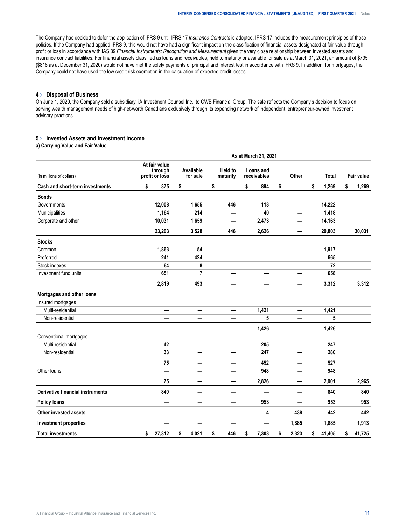<span id="page-10-0"></span>The Company has decided to defer the application of IFRS 9 until IFRS 17 *Insurance Contracts* is adopted. IFRS 17 includes the measurement principles of these policies. If the Company had applied IFRS 9, this would not have had a significant impact on the classification of financial assets designated at fair value through profit or loss in accordance with IAS 39 *Financial Instruments: Recognition and Measurement* given the very close relationship between invested assets and insurance contract liabilities. For financial assets classified as loans and receivables, held to maturity or available for sale as at March 31, 2021, an amount of \$795 (\$818 as at December 31, 2020) would not have met the solely payments of principal and interest test in accordance with IFRS 9. In addition, for mortgages, the Company could not have used the low credit risk exemption in the calculation of expected credit losses.

#### **4 › Disposal of Business**

On June 1, 2020, the Company sold a subsidiary, iA Investment Counsel Inc., to CWB Financial Group. The sale reflects the Company's decision to focus on serving wealth management needs of high-net-worth Canadians exclusively through its expanding network of independent, entrepreneur-owned investment advisory practices.

#### **5 › Invested Assets and Investment Income**

#### **a) Carrying Value and Fair Value**

|                                         | As at March 31, 2021                       |        |                       |       |                            |                            |    |                          |    |       |    |              |    |                   |
|-----------------------------------------|--------------------------------------------|--------|-----------------------|-------|----------------------------|----------------------------|----|--------------------------|----|-------|----|--------------|----|-------------------|
| (in millions of dollars)                | At fair value<br>through<br>profit or loss |        | Available<br>for sale |       | <b>Held to</b><br>maturity |                            |    | Loans and<br>receivables |    | Other |    | <b>Total</b> |    | <b>Fair value</b> |
| Cash and short-term investments         | \$                                         | 375    | \$                    |       | \$                         |                            | \$ | 894                      | \$ |       | \$ | 1,269        | \$ | 1,269             |
| <b>Bonds</b>                            |                                            |        |                       |       |                            |                            |    |                          |    |       |    |              |    |                   |
| Governments                             |                                            | 12,008 |                       | 1,655 |                            | 446                        |    | 113                      |    | —     |    | 14,222       |    |                   |
| Municipalities                          |                                            | 1,164  |                       | 214   |                            |                            |    | 40                       |    |       |    | 1,418        |    |                   |
| Corporate and other                     |                                            | 10,031 |                       | 1,659 |                            |                            |    | 2,473                    |    |       |    | 14,163       |    |                   |
|                                         |                                            | 23,203 |                       | 3,528 |                            | 446                        |    | 2,626                    |    |       |    | 29,803       |    | 30,031            |
| <b>Stocks</b>                           |                                            |        |                       |       |                            |                            |    |                          |    |       |    |              |    |                   |
| Common                                  |                                            | 1,863  |                       | 54    |                            | —                          |    | —                        |    | —     |    | 1,917        |    |                   |
| Preferred                               |                                            | 241    |                       | 424   |                            |                            |    |                          |    |       |    | 665          |    |                   |
| Stock indexes                           |                                            | 64     |                       | 8     |                            | —                          |    | —                        |    |       |    | 72           |    |                   |
| Investment fund units                   |                                            | 651    |                       | 7     |                            | -                          |    | —                        |    |       |    | 658          |    |                   |
|                                         |                                            | 2,819  |                       | 493   |                            | -                          |    |                          |    |       |    | 3,312        |    | 3,312             |
| Mortgages and other loans               |                                            |        |                       |       |                            |                            |    |                          |    |       |    |              |    |                   |
| Insured mortgages                       |                                            |        |                       |       |                            |                            |    |                          |    |       |    |              |    |                   |
| Multi-residential                       |                                            | —      |                       | —     |                            | —                          |    | 1,421                    |    | —     |    | 1,421        |    |                   |
| Non-residential                         |                                            |        |                       |       |                            |                            |    | 5                        |    |       |    | 5            |    |                   |
|                                         |                                            |        |                       | —     |                            | —                          |    | 1,426                    |    | —     |    | 1,426        |    |                   |
| Conventional mortgages                  |                                            |        |                       |       |                            |                            |    |                          |    |       |    |              |    |                   |
| Multi-residential                       |                                            | 42     |                       | —     |                            | —                          |    | 205                      |    | —     |    | 247          |    |                   |
| Non-residential                         |                                            | 33     |                       |       |                            | —                          |    | 247                      |    |       |    | 280          |    |                   |
|                                         |                                            | 75     |                       | —     |                            | $\overline{\phantom{0}}$   |    | 452                      |    |       |    | 527          |    |                   |
| Other loans                             |                                            | —      |                       |       |                            | —                          |    | 948                      |    |       |    | 948          |    |                   |
|                                         |                                            | 75     |                       | —     |                            | $\qquad \qquad \  \  \, -$ |    | 2,826                    |    | —     |    | 2,901        |    | 2,965             |
| <b>Derivative financial instruments</b> |                                            | 840    |                       | —     |                            | —                          |    |                          |    |       |    | 840          |    | 840               |
| <b>Policy loans</b>                     |                                            |        |                       |       |                            | —                          |    | 953                      |    |       |    | 953          |    | 953               |
| Other invested assets                   |                                            |        |                       | –     |                            | —                          |    | 4                        |    | 438   |    | 442          |    | 442               |
| <b>Investment properties</b>            |                                            |        |                       |       |                            | —                          |    |                          |    | 1,885 |    | 1,885        |    | 1,913             |
| <b>Total investments</b>                | \$                                         | 27,312 | \$                    | 4,021 | \$                         | 446                        | \$ | 7,303                    | \$ | 2,323 | \$ | 41,405       | \$ | 41,725            |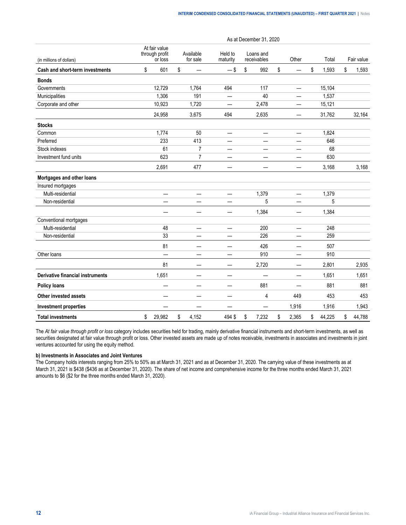|                                         |                                            |                                |                          | As at December 31, 2020  |                          |              |              |
|-----------------------------------------|--------------------------------------------|--------------------------------|--------------------------|--------------------------|--------------------------|--------------|--------------|
| (in millions of dollars)                | At fair value<br>through profit<br>or loss | Available<br>for sale          | Held to<br>maturity      | Loans and<br>receivables | Other                    | Total        | Fair value   |
| <b>Cash and short-term investments</b>  | \$<br>601                                  | \$                             | $-$ \$                   | \$<br>992                | \$                       | \$<br>1,593  | \$<br>1,593  |
| <b>Bonds</b>                            |                                            |                                |                          |                          |                          |              |              |
| Governments                             | 12,729                                     | 1,764                          | 494                      | 117                      |                          | 15,104       |              |
| Municipalities                          | 1,306                                      | 191                            |                          | 40                       |                          | 1,537        |              |
| Corporate and other                     | 10,923                                     | 1,720                          | —                        | 2,478                    |                          | 15,121       |              |
|                                         | 24,958                                     | 3,675                          | 494                      | 2,635                    | —                        | 31,762       | 32,164       |
| <b>Stocks</b>                           |                                            |                                |                          |                          |                          |              |              |
| Common                                  | 1,774                                      | 50                             | —                        |                          |                          | 1,824        |              |
| Preferred                               | 233                                        | 413                            | $\overline{\phantom{0}}$ | $\overline{\phantom{0}}$ | —                        | 646          |              |
| Stock indexes                           | 61                                         | $\overline{7}$                 |                          |                          |                          | 68           |              |
| Investment fund units                   | 623                                        | $\overline{7}$                 | —                        |                          |                          | 630          |              |
|                                         | 2,691                                      | 477                            |                          |                          |                          | 3,168        | 3,168        |
| Mortgages and other loans               |                                            |                                |                          |                          |                          |              |              |
| Insured mortgages                       |                                            |                                |                          |                          |                          |              |              |
| Multi-residential                       | —                                          | —                              | —                        | 1,379                    | $\overline{\phantom{0}}$ | 1,379        |              |
| Non-residential                         |                                            |                                |                          | 5                        |                          | 5            |              |
|                                         |                                            |                                |                          | 1,384                    | —                        | 1,384        |              |
| Conventional mortgages                  |                                            |                                |                          |                          |                          |              |              |
| Multi-residential                       | 48                                         | —                              | —                        | 200                      | —                        | 248          |              |
| Non-residential                         | 33                                         |                                |                          | 226                      |                          | 259          |              |
|                                         | 81                                         |                                | —                        | 426                      |                          | 507          |              |
| Other loans                             | $\overline{\phantom{0}}$                   |                                | $\overline{\phantom{0}}$ | 910                      |                          | 910          |              |
|                                         | 81                                         | $\qquad \qquad \longleftarrow$ | —                        | 2,720                    | —                        | 2,801        | 2,935        |
| <b>Derivative financial instruments</b> | 1,651                                      |                                | —                        |                          |                          | 1,651        | 1,651        |
| <b>Policy loans</b>                     |                                            |                                |                          | 881                      | ÷.                       | 881          | 881          |
| Other invested assets                   |                                            |                                | -                        | 4                        | 449                      | 453          | 453          |
| <b>Investment properties</b>            |                                            |                                |                          |                          | 1,916                    | 1,916        | 1,943        |
| <b>Total investments</b>                | \$<br>29,982                               | \$<br>4,152                    | 494 \$                   | \$<br>7,232              | \$<br>2,365              | \$<br>44,225 | \$<br>44,788 |

The *At fair value through profit or loss* category includes securities held for trading, mainly derivative financial instruments and short-term investments, as well as securities designated at fair value through profit or loss. Other invested assets are made up of notes receivable, investments in associates and investments in joint ventures accounted for using the equity method.

#### **b) Investments in Associates and Joint Ventures**

The Company holds interests ranging from 25% to 50% as at March 31, 2021 and as at December 31, 2020. The carrying value of these investments as at March 31, 2021 is \$438 (\$436 as at December 31, 2020). The share of net income and comprehensive income for the three months ended March 31, 2021 amounts to \$6 (\$2 for the three months ended March 31, 2020).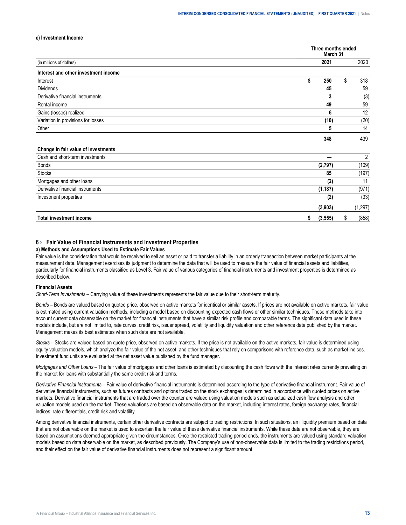#### <span id="page-12-0"></span>**c) Investment Income**

|                                      | Three months ended<br>March 31 |    |                |
|--------------------------------------|--------------------------------|----|----------------|
| (in millions of dollars)             | 2021                           |    | 2020           |
| Interest and other investment income |                                |    |                |
| Interest                             | \$<br>250                      | \$ | 318            |
| <b>Dividends</b>                     | 45                             |    | 59             |
| Derivative financial instruments     | 3                              |    | (3)            |
| Rental income                        | 49                             |    | 59             |
| Gains (losses) realized              | 6                              |    | 12             |
| Variation in provisions for losses   | (10)                           |    | (20)           |
| Other                                | 5                              |    | 14             |
|                                      | 348                            |    | 439            |
| Change in fair value of investments  |                                |    |                |
| Cash and short-term investments      |                                |    | $\overline{2}$ |
| <b>Bonds</b>                         | (2,797)                        |    | (109)          |
| <b>Stocks</b>                        | 85                             |    | (197)          |
| Mortgages and other loans            | (2)                            |    | 11             |
| Derivative financial instruments     | (1, 187)                       |    | (971)          |
| Investment properties                | (2)                            |    | (33)           |
|                                      | (3,903)                        |    | (1, 297)       |
| <b>Total investment income</b>       | \$<br>(3, 555)                 | S  | (858)          |

#### **6 › Fair Value of Financial Instruments and Investment Properties**

#### **a) Methods and Assumptions Used to Estimate Fair Values**

Fair value is the consideration that would be received to sell an asset or paid to transfer a liability in an orderly transaction between market participants at the measurement date. Management exercises its judgment to determine the data that will be used to measure the fair value of financial assets and liabilities, particularly for financial instruments classified as Level 3. Fair value of various categories of financial instruments and investment properties is determined as described below.

#### **Financial Assets**

*Short-Term Investments –* Carrying value of these investments represents the fair value due to their short-term maturity.

*Bonds* – Bonds are valued based on quoted price, observed on active markets for identical or similar assets. If prices are not available on active markets, fair value is estimated using current valuation methods, including a model based on discounting expected cash flows or other similar techniques. These methods take into account current data observable on the market for financial instruments that have a similar risk profile and comparable terms. The significant data used in these models include, but are not limited to, rate curves, credit risk, issuer spread, volatility and liquidity valuation and other reference data published by the market. Management makes its best estimates when such data are not available.

*Stocks* – Stocks are valued based on quote price, observed on active markets. If the price is not available on the active markets, fair value is determined using equity valuation models, which analyze the fair value of the net asset, and other techniques that rely on comparisons with reference data, such as market indices. Investment fund units are evaluated at the net asset value published by the fund manager.

*Mortgages and Other Loans* – The fair value of mortgages and other loans is estimated by discounting the cash flows with the interest rates currently prevailing on the market for loans with substantially the same credit risk and terms.

*Derivative Financial Instruments* – Fair value of derivative financial instruments is determined according to the type of derivative financial instrument. Fair value of derivative financial instruments, such as futures contracts and options traded on the stock exchanges is determined in accordance with quoted prices on active markets. Derivative financial instruments that are traded over the counter are valued using valuation models such as actualized cash flow analysis and other valuation models used on the market. These valuations are based on observable data on the market, including interest rates, foreign exchange rates, financial indices, rate differentials, credit risk and volatility.

Among derivative financial instruments, certain other derivative contracts are subject to trading restrictions. In such situations, an illiquidity premium based on data that are not observable on the market is used to ascertain the fair value of these derivative financial instruments. While these data are not observable, they are based on assumptions deemed appropriate given the circumstances. Once the restricted trading period ends, the instruments are valued using standard valuation models based on data observable on the market, as described previously. The Company's use of non-observable data is limited to the trading restrictions period, and their effect on the fair value of derivative financial instruments does not represent a significant amount.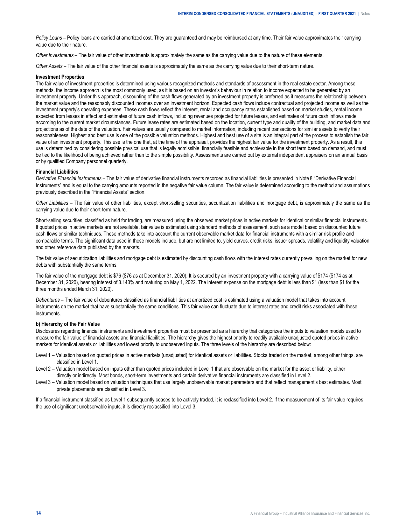*Policy Loans* – Policy loans are carried at amortized cost. They are guaranteed and may be reimbursed at any time. Their fair value approximates their carrying value due to their nature.

*Other Investments* – The fair value of other investments is approximately the same as the carrying value due to the nature of these elements.

*Other Assets* – The fair value of the other financial assets is approximately the same as the carrying value due to their short-term nature.

#### **Investment Properties**

The fair value of investment properties is determined using various recognized methods and standards of assessment in the real estate sector. Among these methods, the income approach is the most commonly used, as it is based on an investor's behaviour in relation to income expected to be generated by an investment property. Under this approach, discounting of the cash flows generated by an investment property is preferred as it measures the relationship between the market value and the reasonably discounted incomes over an investment horizon. Expected cash flows include contractual and projected income as well as the investment property's operating expenses. These cash flows reflect the interest, rental and occupancy rates established based on market studies, rental income expected from leases in effect and estimates of future cash inflows, including revenues projected for future leases, and estimates of future cash inflows made according to the current market circumstances. Future lease rates are estimated based on the location, current type and quality of the building, and market data and projections as of the date of the valuation. Fair values are usually compared to market information, including recent transactions for similar assets to verify their reasonableness. Highest and best use is one of the possible valuation methods. Highest and best use of a site is an integral part of the process to establish the fair value of an investment property. This use is the one that, at the time of the appraisal, provides the highest fair value for the investment property. As a result, this use is determined by considering possible physical use that is legally admissible, financially feasible and achievable in the short term based on demand, and must be tied to the likelihood of being achieved rather than to the simple possibility. Assessments are carried out by external independent appraisers on an annual basis or by qualified Company personnel quarterly.

#### **Financial Liabilities**

*Derivative Financial Instruments –* The fair value of derivative financial instruments recorded as financial liabilities is presented in Note 8 "Derivative Financial Instruments" and is equal to the carrying amounts reported in the negative fair value column. The fair value is determined according to the method and assumptions previously described in the "Financial Assets" section.

*Other Liabilities –* The fair value of other liabilities, except short-selling securities, securitization liabilities and mortgage debt, is approximately the same as the carrying value due to their short-term nature.

Short-selling securities, classified as held for trading, are measured using the observed market prices in active markets for identical or similar financial instruments. If quoted prices in active markets are not available, fair value is estimated using standard methods of assessment, such as a model based on discounted future cash flows or similar techniques. These methods take into account the current observable market data for financial instruments with a similar risk profile and comparable terms. The significant data used in these models include, but are not limited to, yield curves, credit risks, issuer spreads, volatility and liquidity valuation and other reference data published by the markets.

The fair value of securitization liabilities and mortgage debt is estimated by discounting cash flows with the interest rates currently prevailing on the market for new debts with substantially the same terms.

The fair value of the mortgage debt is \$76 (\$76 as at December 31, 2020). It is secured by an investment property with a carrying value of \$174 (\$174 as at December 31, 2020), bearing interest of 3.143% and maturing on May 1, 2022. The interest expense on the mortgage debt is less than \$1 (less than \$1 for the three months ended March 31, 2020).

*Debentures –* The fair value of debentures classified as financial liabilities at amortized cost is estimated using a valuation model that takes into account instruments on the market that have substantially the same conditions. This fair value can fluctuate due to interest rates and credit risks associated with these instruments.

#### **b) Hierarchy of the Fair Value**

Disclosures regarding financial instruments and investment properties must be presented as a hierarchy that categorizes the inputs to valuation models used to measure the fair value of financial assets and financial liabilities. The hierarchy gives the highest priority to readily available unadjusted quoted prices in active markets for identical assets or liabilities and lowest priority to unobserved inputs. The three levels of the hierarchy are described below:

- Level 1 Valuation based on quoted prices in active markets (unadjusted) for identical assets or liabilities. Stocks traded on the market, among other things, are classified in Level 1.
- Level 2 Valuation model based on inputs other than quoted prices included in Level 1 that are observable on the market for the asset or liability, either directly or indirectly. Most bonds, short-term investments and certain derivative financial instruments are classified in Level 2.
- Level 3 Valuation model based on valuation techniques that use largely unobservable market parameters and that reflect management's best estimates. Most private placements are classified in Level 3.

If a financial instrument classified as Level 1 subsequently ceases to be actively traded, it is reclassified into Level 2. If the measurement of its fair value requires the use of significant unobservable inputs, it is directly reclassified into Level 3.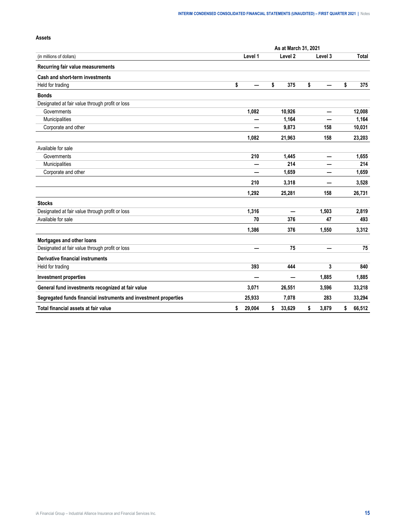|                                                                  |              | As at March 31, 2021     |                          |              |
|------------------------------------------------------------------|--------------|--------------------------|--------------------------|--------------|
| (in millions of dollars)                                         | Level 1      | Level <sub>2</sub>       | Level 3                  | Total        |
| Recurring fair value measurements                                |              |                          |                          |              |
| Cash and short-term investments                                  |              |                          |                          |              |
| Held for trading                                                 | \$           | \$<br>375                | \$                       | \$<br>375    |
| <b>Bonds</b>                                                     |              |                          |                          |              |
| Designated at fair value through profit or loss                  |              |                          |                          |              |
| Governments                                                      | 1,082        | 10,926                   | $\overline{\phantom{0}}$ | 12,008       |
| Municipalities                                                   |              | 1,164                    |                          | 1,164        |
| Corporate and other                                              |              | 9,873                    | 158                      | 10,031       |
|                                                                  | 1,082        | 21,963                   | 158                      | 23,203       |
| Available for sale                                               |              |                          |                          |              |
| Governments                                                      | 210          | 1,445                    | $\overline{\phantom{0}}$ | 1,655        |
| Municipalities                                                   |              | 214                      |                          | 214          |
| Corporate and other                                              |              | 1,659                    |                          | 1,659        |
|                                                                  | 210          | 3,318                    |                          | 3,528        |
|                                                                  | 1,292        | 25,281                   | 158                      | 26,731       |
| <b>Stocks</b>                                                    |              |                          |                          |              |
| Designated at fair value through profit or loss                  | 1,316        |                          | 1,503                    | 2,819        |
| Available for sale                                               | 70           | 376                      | 47                       | 493          |
|                                                                  | 1,386        | 376                      | 1,550                    | 3,312        |
| Mortgages and other loans                                        |              |                          |                          |              |
| Designated at fair value through profit or loss                  |              | 75                       |                          | 75           |
| Derivative financial instruments                                 |              |                          |                          |              |
| Held for trading                                                 | 393          | 444                      | 3                        | 840          |
| <b>Investment properties</b>                                     |              | $\overline{\phantom{0}}$ | 1,885                    | 1,885        |
| General fund investments recognized at fair value                | 3,071        | 26,551                   | 3,596                    | 33,218       |
| Segregated funds financial instruments and investment properties | 25,933       | 7,078                    | 283                      | 33,294       |
| Total financial assets at fair value                             | \$<br>29,004 | \$<br>33,629             | \$<br>3,879              | \$<br>66,512 |

#### **Assets**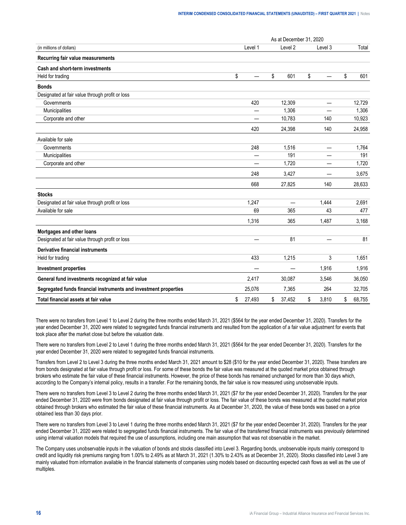|                                                                  |              | As at December 31, 2020  |             |              |
|------------------------------------------------------------------|--------------|--------------------------|-------------|--------------|
| (in millions of dollars)                                         | Level 1      | Level <sub>2</sub>       | Level 3     | Total        |
| Recurring fair value measurements                                |              |                          |             |              |
| Cash and short-term investments                                  |              |                          |             |              |
| Held for trading                                                 | \$           | \$<br>601                | \$          | \$<br>601    |
| <b>Bonds</b>                                                     |              |                          |             |              |
| Designated at fair value through profit or loss                  |              |                          |             |              |
| Governments                                                      | 420          | 12,309                   | —           | 12,729       |
| Municipalities                                                   |              | 1,306                    |             | 1,306        |
| Corporate and other                                              |              | 10,783                   | 140         | 10,923       |
|                                                                  | 420          | 24,398                   | 140         | 24,958       |
| Available for sale                                               |              |                          |             |              |
| Governments                                                      | 248          | 1,516                    | —           | 1,764        |
| Municipalities                                                   |              | 191                      |             | 191          |
| Corporate and other                                              |              | 1,720                    |             | 1,720        |
|                                                                  | 248          | 3,427                    |             | 3,675        |
|                                                                  | 668          | 27,825                   | 140         | 28,633       |
| <b>Stocks</b>                                                    |              |                          |             |              |
| Designated at fair value through profit or loss                  | 1,247        | $\overline{\phantom{0}}$ | 1,444       | 2,691        |
| Available for sale                                               | 69           | 365                      | 43          | 477          |
|                                                                  | 1,316        | 365                      | 1,487       | 3,168        |
| Mortgages and other loans                                        |              |                          |             |              |
| Designated at fair value through profit or loss                  |              | 81                       |             | 81           |
| Derivative financial instruments                                 |              |                          |             |              |
| Held for trading                                                 | 433          | 1,215                    | 3           | 1,651        |
| <b>Investment properties</b>                                     |              |                          | 1,916       | 1,916        |
| General fund investments recognized at fair value                | 2,417        | 30,087                   | 3,546       | 36,050       |
| Segregated funds financial instruments and investment properties | 25,076       | 7,365                    | 264         | 32,705       |
| Total financial assets at fair value                             | \$<br>27,493 | \$<br>37,452             | \$<br>3,810 | \$<br>68,755 |

There were no transfers from Level 1 to Level 2 during the three months ended March 31, 2021 (\$564 for the year ended December 31, 2020). Transfers for the year ended December 31, 2020 were related to segregated funds financial instruments and resulted from the application of a fair value adjustment for events that took place after the market close but before the valuation date.

There were no transfers from Level 2 to Level 1 during the three months ended March 31, 2021 (\$564 for the year ended December 31, 2020). Transfers for the year ended December 31, 2020 were related to segregated funds financial instruments.

Transfers from Level 2 to Level 3 during the three months ended March 31, 2021 amount to \$28 (\$10 for the year ended December 31, 2020). These transfers are from bonds designated at fair value through profit or loss. For some of these bonds the fair value was measured at the quoted market price obtained through brokers who estimate the fair value of these financial instruments. However, the price of these bonds has remained unchanged for more than 30 days which, according to the Company's internal policy, results in a transfer. For the remaining bonds, the fair value is now measured using unobservable inputs.

There were no transfers from Level 3 to Level 2 during the three months ended March 31, 2021 (\$7 for the year ended December 31, 2020). Transfers for the year ended December 31, 2020 were from bonds designated at fair value through profit or loss. The fair value of these bonds was measured at the quoted market price obtained through brokers who estimated the fair value of these financial instruments. As at December 31, 2020, the value of these bonds was based on a price obtained less than 30 days prior.

There were no transfers from Level 3 to Level 1 during the three months ended March 31, 2021 (\$7 for the year ended December 31, 2020). Transfers for the year ended December 31, 2020 were related to segregated funds financial instruments. The fair value of the transferred financial instruments was previously determined using internal valuation models that required the use of assumptions, including one main assumption that was not observable in the market.

The Company uses unobservable inputs in the valuation of bonds and stocks classified into Level 3. Regarding bonds, unobservable inputs mainly correspond to credit and liquidity risk premiums ranging from 1.00% to 2.49% as at March 31, 2021 (1.30% to 2.43% as at December 31, 2020). Stocks classified into Level 3 are mainly valuated from information available in the financial statements of companies using models based on discounting expected cash flows as well as the use of multiples.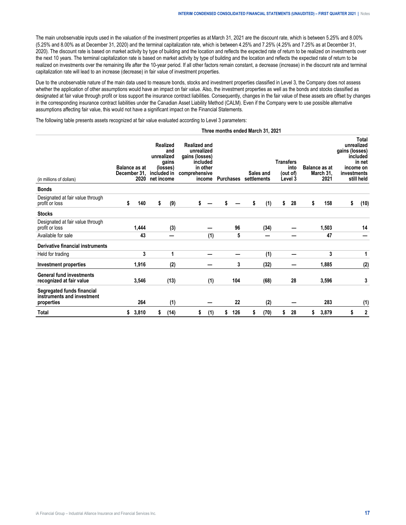The main unobservable inputs used in the valuation of the investment properties as at March 31, 2021 are the discount rate, which is between 5.25% and 8.00% (5.25% and 8.00% as at December 31, 2020) and the terminal capitalization rate, which is between 4.25% and 7.25% (4.25% and 7.25% as at December 31, 2020). The discount rate is based on market activity by type of building and the location and reflects the expected rate of return to be realized on investments over the next 10 years. The terminal capitalization rate is based on market activity by type of building and the location and reflects the expected rate of return to be realized on investments over the remaining life after the 10-year period. If all other factors remain constant, a decrease (increase) in the discount rate and terminal capitalization rate will lead to an increase (decrease) in fair value of investment properties.

Due to the unobservable nature of the main data used to measure bonds, stocks and investment properties classified in Level 3, the Company does not assess whether the application of other assumptions would have an impact on fair value. Also, the investment properties as well as the bonds and stocks classified as designated at fair value through profit or loss support the insurance contract liabilities. Consequently, changes in the fair value of these assets are offset by changes in the corresponding insurance contract liabilities under the Canadian Asset Liability Method (CALM). Even if the Company were to use possible alternative assumptions affecting fair value, this would not have a significant impact on the Financial Statements.

The following table presents assets recognized at fair value evaluated according to Level 3 parameters:

#### **Three months ended March 31, 2021**

| (in millions of dollars)                                               | <b>Balance as at</b><br>December 31, | 2020  | unrealized<br>included in<br>net income | Realized<br>and<br>gains<br>(losses) | <b>Realized and</b><br>unrealized<br>gains (losses)<br>included<br>in other<br>comprehensive<br>income |     |           | Purchases settlements | Sales and | <b>Transfers</b> | into<br>(out of)<br>Level 3 |    | <b>Balance as at</b><br>March 31.<br>2021 | gains (losses)<br>investments | Total<br>unrealized<br>included<br>in net<br>income on<br>still held |
|------------------------------------------------------------------------|--------------------------------------|-------|-----------------------------------------|--------------------------------------|--------------------------------------------------------------------------------------------------------|-----|-----------|-----------------------|-----------|------------------|-----------------------------|----|-------------------------------------------|-------------------------------|----------------------------------------------------------------------|
| <b>Bonds</b>                                                           |                                      |       |                                         |                                      |                                                                                                        |     |           |                       |           |                  |                             |    |                                           |                               |                                                                      |
| Designated at fair value through<br>profit or loss                     | \$                                   | 140   | \$                                      | (9)                                  | \$                                                                                                     |     | \$        | \$                    | (1)       | \$               | 28                          | \$ | 158                                       | \$                            | (10)                                                                 |
| <b>Stocks</b>                                                          |                                      |       |                                         |                                      |                                                                                                        |     |           |                       |           |                  |                             |    |                                           |                               |                                                                      |
| Designated at fair value through<br>profit or loss                     |                                      | 1,444 |                                         | (3)                                  |                                                                                                        |     | 96        |                       | (34)      |                  |                             |    | 1,503                                     |                               | 14                                                                   |
| Available for sale                                                     |                                      | 43    |                                         |                                      |                                                                                                        | (1) | 5         |                       |           |                  |                             |    | 47                                        |                               |                                                                      |
| Derivative financial instruments                                       |                                      |       |                                         |                                      |                                                                                                        |     |           |                       |           |                  |                             |    |                                           |                               |                                                                      |
| Held for trading                                                       |                                      | 3     |                                         | 1                                    |                                                                                                        |     |           |                       | (1)       |                  |                             |    | 3                                         |                               | 1                                                                    |
| Investment properties                                                  |                                      | 1,916 |                                         | (2)                                  |                                                                                                        |     | 3         |                       | (32)      |                  |                             |    | 1,885                                     |                               | (2)                                                                  |
| <b>General fund investments</b><br>recognized at fair value            |                                      | 3,546 |                                         | (13)                                 |                                                                                                        | (1) | 104       |                       | (68)      |                  | 28                          |    | 3,596                                     |                               | 3                                                                    |
| Segregated funds financial<br>instruments and investment<br>properties |                                      | 264   |                                         | (1)                                  |                                                                                                        |     | 22        |                       | (2)       |                  |                             |    | 283                                       |                               | (1)                                                                  |
| Total                                                                  | \$                                   | 3,810 | S                                       | (14)                                 | S                                                                                                      | (1) | \$<br>126 | S                     | (70)      | S                | 28                          | S  | 3,879                                     | S                             | 2                                                                    |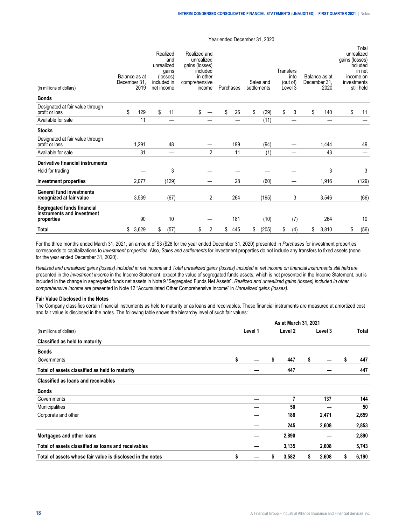| (in millions of dollars)                                               | Balance as at<br>December 31. | 2019  | Realized<br>and<br>unrealized<br>gains<br>(losses)<br>included in<br>net income | Realized and<br>unrealized<br>gains (losses)<br>comprehensive | included<br>in other<br>income | Purchases |     | Sales and<br>settlements | Transfers | into<br>(out of)<br>Level 3 | Balance as at<br>December 31.<br>2020 | gains (losses)<br>investments | Total<br>unrealized<br>included<br>in net<br>income on<br>still held |
|------------------------------------------------------------------------|-------------------------------|-------|---------------------------------------------------------------------------------|---------------------------------------------------------------|--------------------------------|-----------|-----|--------------------------|-----------|-----------------------------|---------------------------------------|-------------------------------|----------------------------------------------------------------------|
| <b>Bonds</b>                                                           |                               |       |                                                                                 |                                                               |                                |           |     |                          |           |                             |                                       |                               |                                                                      |
| Designated at fair value through<br>profit or loss                     | \$                            | 129   | \$<br>11                                                                        | \$                                                            |                                | \$        | 26  | \$<br>(29)               | \$        | 3                           | \$<br>140                             | \$                            | 11                                                                   |
| Available for sale                                                     |                               | 11    |                                                                                 |                                                               |                                |           |     | (11)                     |           |                             |                                       |                               |                                                                      |
| <b>Stocks</b>                                                          |                               |       |                                                                                 |                                                               |                                |           |     |                          |           |                             |                                       |                               |                                                                      |
| Designated at fair value through<br>profit or loss                     |                               | 1,291 | 48                                                                              |                                                               |                                |           | 199 | (94)                     |           |                             | 1,444                                 |                               | 49                                                                   |
| Available for sale                                                     |                               | 31    | —                                                                               |                                                               | $\overline{2}$                 |           | 11  | (1)                      |           |                             | 43                                    |                               |                                                                      |
| Derivative financial instruments                                       |                               |       |                                                                                 |                                                               |                                |           |     |                          |           |                             |                                       |                               |                                                                      |
| Held for trading                                                       |                               |       | 3                                                                               |                                                               |                                |           |     |                          |           |                             | 3                                     |                               | 3                                                                    |
| Investment properties                                                  |                               | 2,077 | (129)                                                                           |                                                               |                                |           | 28  | (60)                     |           |                             | 1,916                                 |                               | (129)                                                                |
| <b>General fund investments</b><br>recognized at fair value            |                               | 3,539 | (67)                                                                            |                                                               | 2                              |           | 264 | (195)                    |           | 3                           | 3,546                                 |                               | (66)                                                                 |
| Segregated funds financial<br>instruments and investment<br>properties |                               | 90    | 10                                                                              |                                                               |                                |           | 181 | (10)                     |           | (7)                         | 264                                   |                               | 10                                                                   |
| <b>Total</b>                                                           | \$                            | 3,629 | \$<br>(57)                                                                      | \$                                                            | 2                              | \$        | 445 | \$<br>(205)              | \$        | (4)                         | \$<br>3,810                           | \$                            | (56)                                                                 |

For the three months ended March 31, 2021, an amount of \$3 (\$28 for the year ended December 31, 2020) presented in *Purchases* for investment properties corresponds to capitalizations to *Investment properties*. Also, *Sales and settlements* for investment properties do not include any transfers to fixed assets (none for the year ended December 31, 2020).

*Realized and unrealized gains (losses) included in net income* and *Total unrealized gains (losses) included in net income on financial instruments still held* are presented in the *Investment income* in the Income Statement, except the value of segregated funds assets, which is not presented in the Income Statement, but is included in the change in segregated funds net assets in Note 9 "Segregated Funds Net Assets". *Realized and unrealized gains (losses) included in other comprehensive income* are presented in Note 12 "Accumulated Other Comprehensive Income" in *Unrealized gains (losses).*

#### **Fair Value Disclosed in the Notes**

The Company classifies certain financial instruments as held to maturity or as loans and receivables. These financial instruments are measured at amortized cost and fair value is disclosed in the notes. The following table shows the hierarchy level of such fair values:

|                                                            |    |         |   | As at March 31, 2021 |    |         |   |       |
|------------------------------------------------------------|----|---------|---|----------------------|----|---------|---|-------|
| (in millions of dollars)                                   |    | Level 1 |   | Level 2              |    | Level 3 |   | Total |
| Classified as held to maturity                             |    |         |   |                      |    |         |   |       |
| <b>Bonds</b>                                               |    |         |   |                      |    |         |   |       |
| Governments                                                | \$ |         | S | 447                  | \$ |         | S | 447   |
| Total of assets classified as held to maturity             |    |         |   | 447                  |    |         |   | 447   |
| Classified as loans and receivables                        |    |         |   |                      |    |         |   |       |
| <b>Bonds</b>                                               |    |         |   |                      |    |         |   |       |
| Governments                                                |    |         |   | 7                    |    | 137     |   | 144   |
| Municipalities                                             |    |         |   | 50                   |    |         |   | 50    |
| Corporate and other                                        |    |         |   | 188                  |    | 2,471   |   | 2,659 |
|                                                            |    |         |   | 245                  |    | 2,608   |   | 2,853 |
| Mortgages and other loans                                  |    |         |   | 2,890                |    |         |   | 2,890 |
| Total of assets classified as loans and receivables        |    |         |   | 3,135                |    | 2,608   |   | 5,743 |
| Total of assets whose fair value is disclosed in the notes | \$ |         | S | 3,582                | s  | 2,608   | S | 6,190 |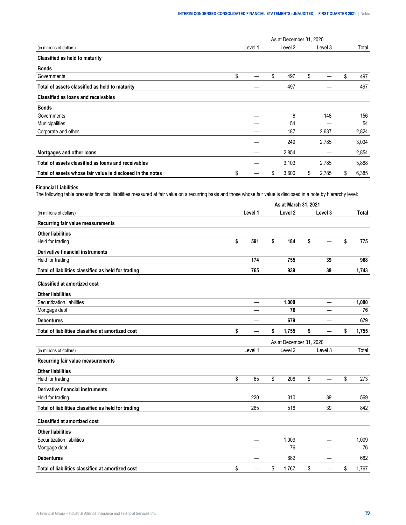|                                                            |         |    | As at December 31, 2020 |    |         |             |
|------------------------------------------------------------|---------|----|-------------------------|----|---------|-------------|
| (in millions of dollars)                                   | Level 1 |    | Level 2                 |    | Level 3 | Total       |
| Classified as held to maturity                             |         |    |                         |    |         |             |
| <b>Bonds</b>                                               |         |    |                         |    |         |             |
| Governments                                                | \$      | \$ | 497                     | \$ |         | \$<br>497   |
| Total of assets classified as held to maturity             |         |    | 497                     |    |         | 497         |
| Classified as loans and receivables                        |         |    |                         |    |         |             |
| <b>Bonds</b>                                               |         |    |                         |    |         |             |
| Governments                                                |         |    | 8                       |    | 148     | 156         |
| Municipalities                                             |         |    | 54                      |    |         | 54          |
| Corporate and other                                        |         |    | 187                     |    | 2,637   | 2,824       |
|                                                            |         |    | 249                     |    | 2,785   | 3,034       |
| Mortgages and other loans                                  |         |    | 2,854                   |    |         | 2,854       |
| Total of assets classified as loans and receivables        |         |    | 3,103                   |    | 2,785   | 5,888       |
| Total of assets whose fair value is disclosed in the notes | \$      | S  | 3,600                   | S  | 2,785   | \$<br>6,385 |

#### **Financial Liabilities**

The following table presents financial liabilities measured at fair value on a recurring basis and those whose fair value is disclosed in a note by hierarchy level:

|                                                     |           | As at March 31, 2021    |         |              |
|-----------------------------------------------------|-----------|-------------------------|---------|--------------|
| (in millions of dollars)                            | Level 1   | Level <sub>2</sub>      | Level 3 | <b>Total</b> |
| Recurring fair value measurements                   |           |                         |         |              |
| <b>Other liabilities</b>                            |           |                         |         |              |
| Held for trading                                    | \$<br>591 | \$<br>184               | \$      | \$<br>775    |
| Derivative financial instruments                    |           |                         |         |              |
| Held for trading                                    | 174       | 755                     | 39      | 968          |
| Total of liabilities classified as held for trading | 765       | 939                     | 39      | 1,743        |
| <b>Classified at amortized cost</b>                 |           |                         |         |              |
| <b>Other liabilities</b>                            |           |                         |         |              |
| Securitization liabilities                          | —         | 1,000                   | —       | 1,000        |
| Mortgage debt                                       |           | 76                      |         | 76           |
| <b>Debentures</b>                                   |           | 679                     |         | 679          |
| Total of liabilities classified at amortized cost   | \$        | \$<br>1,755             | \$      | \$<br>1,755  |
|                                                     |           | As at December 31, 2020 |         |              |
| (in millions of dollars)                            | Level 1   | Level <sub>2</sub>      | Level 3 | Total        |
| Recurring fair value measurements                   |           |                         |         |              |
| <b>Other liabilities</b>                            |           |                         |         |              |
| Held for trading                                    | \$<br>65  | \$<br>208               | \$      | \$<br>273    |
| Derivative financial instruments                    |           |                         |         |              |
| Held for trading                                    | 220       | 310                     | 39      | 569          |
| Total of liabilities classified as held for trading | 285       | 518                     | 39      | 842          |
| <b>Classified at amortized cost</b>                 |           |                         |         |              |
| <b>Other liabilities</b>                            |           |                         |         |              |
| Securitization liabilities                          | —         | 1,009                   |         | 1,009        |
| Mortgage debt                                       |           | 76                      |         | 76           |
| <b>Debentures</b>                                   |           | 682                     |         | 682          |
| Total of liabilities classified at amortized cost   | \$        | \$<br>1,767             | \$      | \$<br>1,767  |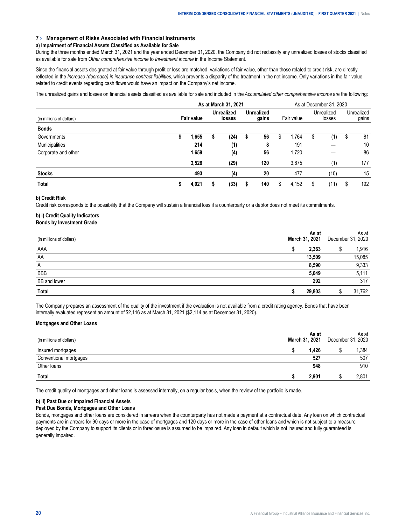#### <span id="page-19-0"></span>**7 › Management of Risks Associated with Financial Instruments**

#### **a) Impairment of Financial Assets Classified as Available for Sale**

During the three months ended March 31, 2021 and the year ended December 31, 2020, the Company did not reclassify any unrealized losses of stocks classified as available for sale from *Other comprehensive income* to *Investment income* in the Income Statement.

Since the financial assets designated at fair value through profit or loss are matched, variations of fair value, other than those related to credit risk, are directly reflected in the *Increase (decrease) in insurance contract liabilities*, which prevents a disparity of the treatment in the net income. Only variations in the fair value related to credit events regarding cash flows would have an impact on the Company's net income.

The unrealized gains and losses on financial assets classified as available for sale and included in the *Accumulated other comprehensive income* are the following:

|                          | As at March 31, 2021 |                   |  |                             |  |                            |   | As at December 31, 2020 |   |                      |   |                     |  |  |
|--------------------------|----------------------|-------------------|--|-----------------------------|--|----------------------------|---|-------------------------|---|----------------------|---|---------------------|--|--|
| (in millions of dollars) |                      | <b>Fair value</b> |  | <b>Unrealized</b><br>losses |  | <b>Unrealized</b><br>gains |   | Fair value              |   | Unrealized<br>losses |   | Unrealized<br>gains |  |  |
| <b>Bonds</b>             |                      |                   |  |                             |  |                            |   |                         |   |                      |   |                     |  |  |
| Governments              |                      | 1.655             |  | (24)                        |  | 56                         | S | 1.764                   | S | (1)                  | S | -81                 |  |  |
| Municipalities           |                      | 214               |  | (1)                         |  | 8                          |   | 191                     |   |                      |   | 10                  |  |  |
| Corporate and other      |                      | 1.659             |  | (4)                         |  | 56                         |   | 1.720                   |   |                      |   | 86                  |  |  |
|                          |                      | 3.528             |  | (29)                        |  | 120                        |   | 3.675                   |   | (1)                  |   | 177                 |  |  |
| <b>Stocks</b>            |                      | 493               |  | (4)                         |  | 20                         |   | 477                     |   | (10)                 |   | 15                  |  |  |
| Total                    |                      | 4.021             |  | (33)                        |  | 140                        | S | 4.152                   | S | (11                  |   | 192                 |  |  |

#### **b) Credit Risk**

Credit risk corresponds to the possibility that the Company will sustain a financial loss if a counterparty or a debtor does not meet its commitments.

## **b) i) Credit Quality Indicators**

## **Bonds by Investment Grade**

|                     | 2021  | I Jecember | As at<br>2020 |
|---------------------|-------|------------|---------------|
| AAA                 |       |            |               |
| AA<br>------------- | 3.509 |            | 085           |
| A                   |       |            |               |
| <b>BBB</b>          |       |            |               |
| BB and lower        |       |            | 317           |
|                     |       |            | 762           |

The Company prepares an assessment of the quality of the investment if the evaluation is not available from a credit rating agency. Bonds that have been internally evaluated represent an amount of \$2,116 as at March 31, 2021 (\$2,114 as at December 31, 2020).

#### **Mortgages and Other Loans**

|       | As at<br>2021<br>March<br>31 | Jecemb                         | As at<br>2020 |
|-------|------------------------------|--------------------------------|---------------|
|       | .426                         |                                | .384          |
| iaues | -07<br>JZ                    | ------------------------------ | 507           |
| loans | Y40                          |                                | 910           |
|       |                              |                                |               |

The credit quality of mortgages and other loans is assessed internally, on a regular basis, when the review of the portfolio is made.

#### **b) ii) Past Due or Impaired Financial Assets**

#### **Past Due Bonds, Mortgages and Other Loans**

Bonds, mortgages and other loans are considered in arrears when the counterparty has not made a payment at a contractual date. Any loan on which contractual payments are in arrears for 90 days or more in the case of mortgages and 120 days or more in the case of other loans and which is not subject to a measure deployed by the Company to support its clients or in foreclosure is assumed to be impaired. Any loan in default which is not insured and fully guaranteed is generally impaired.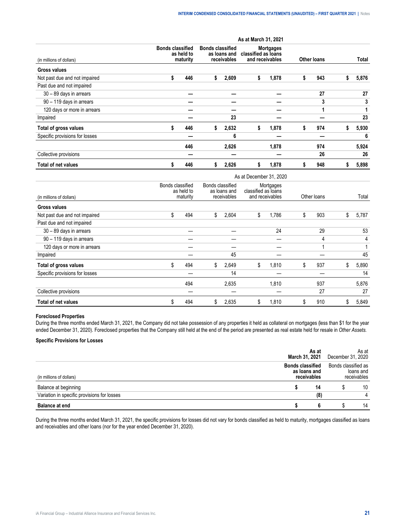|                                |    | As at March 31, 2021                              |    |                                                        |    |                                                            |                    |     |    |       |
|--------------------------------|----|---------------------------------------------------|----|--------------------------------------------------------|----|------------------------------------------------------------|--------------------|-----|----|-------|
| (in millions of dollars)       |    | <b>Bonds classified</b><br>as held to<br>maturity |    | <b>Bonds classified</b><br>as loans and<br>receivables |    | <b>Mortgages</b><br>classified as loans<br>and receivables | <b>Other loans</b> |     |    | Total |
| <b>Gross values</b>            |    |                                                   |    |                                                        |    |                                                            |                    |     |    |       |
| Not past due and not impaired  | \$ | 446                                               | s  | 2,609                                                  | \$ | 1,878                                                      | S                  | 943 | ъ  | 5,876 |
| Past due and not impaired      |    |                                                   |    |                                                        |    |                                                            |                    |     |    |       |
| 30 - 89 days in arrears        |    |                                                   |    |                                                        |    |                                                            |                    | 27  |    | 27    |
| 90 - 119 days in arrears       |    |                                                   |    |                                                        |    |                                                            |                    | 3   |    | 3     |
| 120 days or more in arrears    |    |                                                   |    |                                                        |    |                                                            |                    |     |    |       |
| Impaired                       |    |                                                   |    | 23                                                     |    |                                                            |                    |     |    | 23    |
| Total of gross values          | \$ | 446                                               | s. | 2,632                                                  | \$ | 1,878                                                      | S                  | 974 | S. | 5,930 |
| Specific provisions for losses |    |                                                   |    | 6                                                      |    |                                                            |                    |     |    | 6     |
|                                |    | 446                                               |    | 2,626                                                  |    | 1,878                                                      |                    | 974 |    | 5,924 |
| Collective provisions          |    |                                                   |    |                                                        |    |                                                            |                    | 26  |    | 26    |
| <b>Total of net values</b>     | S  | 446                                               | 5  | 2,626                                                  | s. | 1,878                                                      |                    | 948 |    | 5,898 |

|                                | As at December 31, 2020                    |     |                                                 |       |                                                     |       |             |     |    |       |
|--------------------------------|--------------------------------------------|-----|-------------------------------------------------|-------|-----------------------------------------------------|-------|-------------|-----|----|-------|
| (in millions of dollars)       | Bonds classified<br>as held to<br>maturity |     | Bonds classified<br>as loans and<br>receivables |       | Mortgages<br>classified as loans<br>and receivables |       | Other loans |     |    | Total |
| <b>Gross values</b>            |                                            |     |                                                 |       |                                                     |       |             |     |    |       |
| Not past due and not impaired  | \$                                         | 494 | \$                                              | 2,604 | \$                                                  | 1,786 | \$          | 903 | \$ | 5,787 |
| Past due and not impaired      |                                            |     |                                                 |       |                                                     |       |             |     |    |       |
| 30 - 89 days in arrears        |                                            |     |                                                 |       |                                                     | 24    |             | 29  |    | 53    |
| 90 - 119 days in arrears       |                                            |     |                                                 |       |                                                     |       |             | 4   |    | 4     |
| 120 days or more in arrears    |                                            |     |                                                 |       |                                                     |       |             |     |    | 1     |
| Impaired                       |                                            |     |                                                 | 45    |                                                     |       |             |     |    | 45    |
| Total of gross values          | \$                                         | 494 | \$                                              | 2,649 | \$                                                  | 1,810 | \$          | 937 | S  | 5,890 |
| Specific provisions for losses |                                            |     |                                                 | 14    |                                                     |       |             |     |    | 14    |
|                                |                                            | 494 |                                                 | 2,635 |                                                     | 1,810 |             | 937 |    | 5,876 |
| Collective provisions          |                                            |     |                                                 |       |                                                     |       |             | 27  |    | 27    |
| <b>Total of net values</b>     | \$                                         | 494 | \$                                              | 2,635 | \$                                                  | 1,810 | \$          | 910 | S  | 5,849 |

#### **Foreclosed Properties**

During the three months ended March 31, 2021, the Company did not take possession of any properties it held as collateral on mortgages (less than \$1 for the year ended December 31, 2020). Foreclosed properties that the Company still held at the end of the period are presented as real estate held for resale in *Other Assets.*

#### **Specific Provisions for Losses**

| at end                                      |                                           |                                               | 14 |  |  |  |
|---------------------------------------------|-------------------------------------------|-----------------------------------------------|----|--|--|--|
| Variation in specific provisions for losses | 18                                        |                                               |    |  |  |  |
| ce at beginning                             | 14                                        |                                               | 10 |  |  |  |
| ' dollars)                                  | classified<br>as loans and<br>receivables | Bonds classified as<br>ioans and<br>eivables: |    |  |  |  |
|                                             | As at<br>March 31, 2021                   | As at<br>December 31, 2020                    |    |  |  |  |

During the three months ended March 31, 2021, the specific provisions for losses did not vary for bonds classified as held to maturity, mortgages classified as loans and receivables and other loans (nor for the year ended December 31, 2020).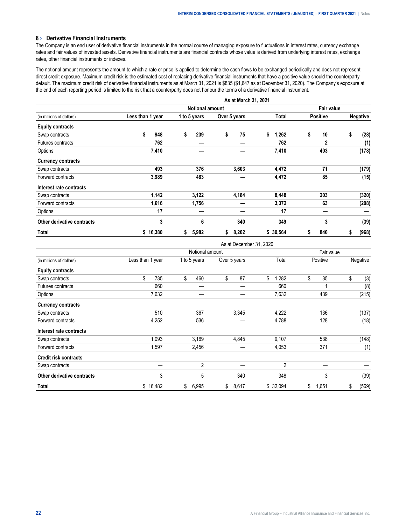#### <span id="page-21-0"></span>**8 › Derivative Financial Instruments**

The Company is an end user of derivative financial instruments in the normal course of managing exposure to fluctuations in interest rates, currency exchange rates and fair values of invested assets. Derivative financial instruments are financial contracts whose value is derived from underlying interest rates, exchange rates, other financial instruments or indexes.

The notional amount represents the amount to which a rate or price is applied to determine the cash flows to be exchanged periodically and does not represent direct credit exposure. Maximum credit risk is the estimated cost of replacing derivative financial instruments that have a positive value should the counterparty default. The maximum credit risk of derivative financial instruments as at March 31, 2021 is \$835 (\$1,647 as at December 31, 2020). The Company's exposure at the end of each reporting period is limited to the risk that a counterparty does not honour the terms of a derivative financial instrument.

|                            |                  |                        |    |              |              | As at March 31, 2021 |    |          |    |                 |    |                 |  |
|----------------------------|------------------|------------------------|----|--------------|--------------|----------------------|----|----------|----|-----------------|----|-----------------|--|
| (in millions of dollars)   |                  | <b>Notional amount</b> |    |              |              |                      |    |          |    | Fair value      |    |                 |  |
|                            | Less than 1 year |                        |    | 1 to 5 years | Over 5 years |                      |    | Total    |    | <b>Positive</b> |    | <b>Negative</b> |  |
| <b>Equity contracts</b>    |                  |                        |    |              |              |                      |    |          |    |                 |    |                 |  |
| Swap contracts             | \$               | 948                    | \$ | 239          | \$           | 75                   | \$ | 1,262    | \$ | 10              | \$ | (28)            |  |
| Futures contracts          |                  | 762                    |    |              |              |                      |    | 762      |    | $\mathbf{2}$    |    | (1)             |  |
| Options                    |                  | 7,410                  |    |              |              |                      |    | 7,410    |    | 403             |    | (178)           |  |
| <b>Currency contracts</b>  |                  |                        |    |              |              |                      |    |          |    |                 |    |                 |  |
| Swap contracts             |                  | 493                    |    | 376          |              | 3,603                |    | 4,472    |    | 71              |    | (179)           |  |
| Forward contracts          |                  | 3,989                  |    | 483          |              |                      |    | 4,472    |    | 85              |    | (15)            |  |
| Interest rate contracts    |                  |                        |    |              |              |                      |    |          |    |                 |    |                 |  |
| Swap contracts             |                  | 1,142                  |    | 3,122        |              | 4,184                |    | 8,448    |    | 203             |    | (320)           |  |
| Forward contracts          |                  | 1,616                  |    | 1,756        |              |                      |    | 3,372    |    | 63              |    | (208)           |  |
| Options                    |                  | 17                     |    |              |              |                      |    | 17       |    | –               |    |                 |  |
| Other derivative contracts |                  | 3                      |    | 6            |              | 340                  |    | 349      |    | 3               |    | (39)            |  |
| Total                      |                  | \$16,380               | \$ | 5,982        | \$           | 8,202                |    | \$30,564 | s  | 840             | \$ | (968)           |  |

|                              |                  |                 | As at December 31, 2020 |                |             |             |  |  |
|------------------------------|------------------|-----------------|-------------------------|----------------|-------------|-------------|--|--|
|                              |                  | Notional amount |                         |                |             |             |  |  |
| (in millions of dollars)     | Less than 1 year | 1 to 5 years    | Over 5 years            | Total          | Positive    | Negative    |  |  |
| <b>Equity contracts</b>      |                  |                 |                         |                |             |             |  |  |
| Swap contracts               | \$<br>735        | \$<br>460       | \$<br>87                | \$<br>1,282    | \$<br>35    | \$<br>(3)   |  |  |
| <b>Futures contracts</b>     | 660              |                 |                         | 660            |             | (8)         |  |  |
| Options                      | 7,632            |                 |                         | 7,632          | 439         | (215)       |  |  |
| <b>Currency contracts</b>    |                  |                 |                         |                |             |             |  |  |
| Swap contracts               | 510              | 367             | 3,345                   | 4,222          | 136         | (137)       |  |  |
| Forward contracts            | 4,252            | 536             |                         | 4,788          | 128         | (18)        |  |  |
| Interest rate contracts      |                  |                 |                         |                |             |             |  |  |
| Swap contracts               | 1,093            | 3,169           | 4,845                   | 9,107          | 538         | (148)       |  |  |
| Forward contracts            | 1,597            | 2,456           |                         | 4,053          | 371         | (1)         |  |  |
| <b>Credit risk contracts</b> |                  |                 |                         |                |             |             |  |  |
| Swap contracts               |                  | $\overline{2}$  |                         | $\overline{2}$ |             |             |  |  |
| Other derivative contracts   | 3                | 5               | 340                     | 348            | 3           | (39)        |  |  |
| Total                        | \$16,482         | \$<br>6,995     | \$<br>8,617             | \$ 32,094      | \$<br>1,651 | \$<br>(569) |  |  |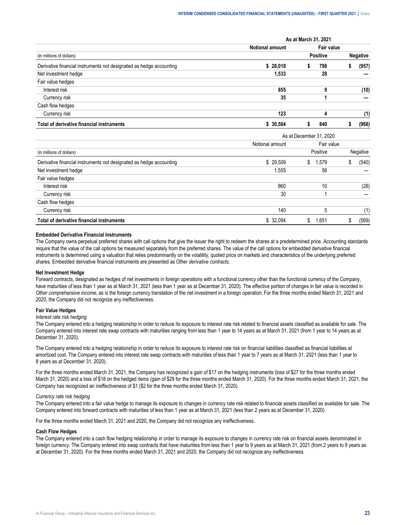|                                                                     | As at March 31, 2021 |                 |            |                 |       |  |  |  |  |
|---------------------------------------------------------------------|----------------------|-----------------|------------|-----------------|-------|--|--|--|--|
|                                                                     | Notional amount      |                 | Fair value |                 |       |  |  |  |  |
| (in millions of dollars)                                            |                      | <b>Positive</b> |            | <b>Negative</b> |       |  |  |  |  |
| Derivative financial instruments not designated as hedge accounting | \$28.018             |                 | 798        |                 | (957) |  |  |  |  |
| Net investment hedge                                                | 1.533                |                 | 28         |                 |       |  |  |  |  |
| Fair value hedges                                                   |                      |                 |            |                 |       |  |  |  |  |
| Interest risk                                                       | 855                  |                 | 9          |                 | (10)  |  |  |  |  |
| Currency risk                                                       | 35                   |                 |            |                 |       |  |  |  |  |
| Cash flow hedges                                                    |                      |                 |            |                 |       |  |  |  |  |
| Currency risk                                                       | 123                  |                 |            |                 | (1)   |  |  |  |  |
| Total of derivative financial instruments                           | 30.564               |                 | 840        |                 | (968) |  |  |  |  |

|                                                                     |                 | As at December 31, 2020 |          |  |  |  |  |  |  |  |
|---------------------------------------------------------------------|-----------------|-------------------------|----------|--|--|--|--|--|--|--|
|                                                                     | Notional amount | Fair value              |          |  |  |  |  |  |  |  |
| (in millions of dollars)                                            |                 | Positive                | Negative |  |  |  |  |  |  |  |
| Derivative financial instruments not designated as hedge accounting | \$29.509        | 1.579<br>S              | (540)    |  |  |  |  |  |  |  |
| Net investment hedge                                                | 1.555           | 56                      |          |  |  |  |  |  |  |  |
| Fair value hedges                                                   |                 |                         |          |  |  |  |  |  |  |  |
| Interest risk                                                       | 860             | 10                      | (28)     |  |  |  |  |  |  |  |
| Currency risk                                                       | 30              |                         |          |  |  |  |  |  |  |  |
| Cash flow hedges                                                    |                 |                         |          |  |  |  |  |  |  |  |
| Currency risk                                                       | 140             |                         |          |  |  |  |  |  |  |  |
| Total of derivative financial instruments                           | \$ 32.094       | .651                    | (569)    |  |  |  |  |  |  |  |

#### **Embedded Derivative Financial Instruments**

The Company owns perpetual preferred shares with call options that give the issuer the right to redeem the shares at a predetermined price. Accounting standards require that the value of the call options be measured separately from the preferred shares. The value of the call options for embedded derivative financial instruments is determined using a valuation that relies predominantly on the volatility, quoted price on markets and characteristics of the underlying preferred shares. Embedded derivative financial instruments are presented as *Other derivative contracts*.

#### **Net Investment Hedge**

Forward contracts, designated as hedges of net investments in foreign operations with a functional currency other than the functional currency of the Company, have maturities of less than 1 year as at March 31, 2021 (less than 1 year as at December 31, 2020). The effective portion of changes in fair value is recorded in *Other comprehensive income*, as is the foreign currency translation of the net investment in a foreign operation. For the three months ended March 31, 2021 and 2020, the Company did not recognize any ineffectiveness.

#### **Fair Value Hedges**

#### *Interest rate risk hedging*

The Company entered into a hedging relationship in order to reduce its exposure to interest rate risk related to financial assets classified as available for sale. The Company entered into interest rate swap contracts with maturities ranging from less than 1 year to 14 years as at March 31, 2021 (from 1 year to 14 years as at December 31, 2020).

The Company entered into a hedging relationship in order to reduce its exposure to interest rate risk on financial liabilities classified as financial liabilities at amortized cost. The Company entered into interest rate swap contracts with maturities of less than 1 year to 7 years as at March 31, 2021 (less than 1 year to 8 years as at December 31, 2020).

For the three months ended March 31, 2021, the Company has recognized a gain of \$17 on the hedging instruments (loss of \$27 for the three months ended March 31, 2020) and a loss of \$18 on the hedged items (gain of \$29 for the three months ended March 31, 2020). For the three months ended March 31, 2021, the Company has recognized an ineffectiveness of \$1 (\$2 for the three months ended March 31, 2020).

#### *Currency rate risk hedging*

The Company entered into a fair value hedge to manage its exposure to changes in currency rate risk related to financial assets classified as available for sale. The Company entered into forward contracts with maturities of less than 1 year as at March 31, 2021 (less than 2 years as at December 31, 2020).

For the three months ended March 31, 2021 and 2020, the Company did not recognize any ineffectiveness.

#### **Cash Flow Hedges**

The Company entered into a cash flow hedging relationship in order to manage its exposure to changes in currency rate risk on financial assets denominated in foreign currency. The Company entered into swap contracts that have maturities from less than 1 year to 9 years as at March 31, 2021 (from 2 years to 9 years as at December 31, 2020). For the three months ended March 31, 2021 and 2020, the Company did not recognize any ineffectiveness.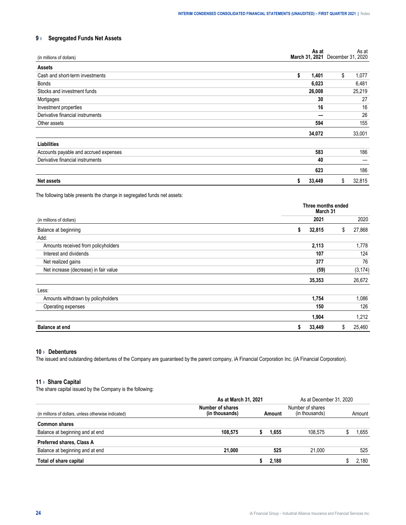## <span id="page-23-0"></span>**9 › Segregated Funds Net Assets**

| (in millions of dollars)              | As at       | As at<br>March 31, 2021 December 31, 2020 |
|---------------------------------------|-------------|-------------------------------------------|
| <b>Assets</b>                         |             |                                           |
| Cash and short-term investments       | \$<br>1,401 | \$<br>1,077                               |
| Bonds                                 | 6,023       | 6,481                                     |
| Stocks and investment funds           | 26,008      | 25,219                                    |
| Mortgages                             | 30          | 27                                        |
| Investment properties                 | 16          | 16                                        |
| Derivative financial instruments      |             | 26                                        |
| Other assets                          | 594         | 155                                       |
|                                       | 34,072      | 33,001                                    |
| Liabilities                           |             |                                           |
| Accounts payable and accrued expenses | 583         | 186                                       |
| Derivative financial instruments      | 40          |                                           |
|                                       | 623         | 186                                       |
| <b>Net assets</b>                     | 33,449<br>s | \$<br>32,815                              |

The following table presents the change in segregated funds net assets:

|                                       | Three months ended<br>March 31 |              |
|---------------------------------------|--------------------------------|--------------|
| (in millions of dollars)              | 2021                           | 2020         |
| Balance at beginning                  | 32,815<br>S                    | 27,868<br>\$ |
| Add:                                  |                                |              |
| Amounts received from policyholders   | 2,113                          | 1,778        |
| Interest and dividends                | 107                            | 124          |
| Net realized gains                    | 377                            | 76           |
| Net increase (decrease) in fair value | (59)                           | (3, 174)     |
|                                       | 35,353                         | 26,672       |
| Less:                                 |                                |              |
| Amounts withdrawn by policyholders    | 1,754                          | 1,086        |
| Operating expenses                    | 150                            | 126          |
|                                       | 1,904                          | 1,212        |
| <b>Balance at end</b>                 | 33,449<br>S                    | 25,460<br>S  |

#### **10 › Debentures**

The issued and outstanding debentures of the Company are guaranteed by the parent company, iA Financial Corporation Inc. (iA Financial Corporation).

#### **11 › Share Capital**

The share capital issued by the Company is the following:

|                                                      |                                    | As at March 31, 2021 |       |                                    |  | As at December 31, 2020 |
|------------------------------------------------------|------------------------------------|----------------------|-------|------------------------------------|--|-------------------------|
| (in millions of dollars, unless otherwise indicated) | Number of shares<br>(in thousands) | Amount               |       | Number of shares<br>(in thousands) |  | Amount                  |
| <b>Common shares</b>                                 |                                    |                      |       |                                    |  |                         |
| Balance at beginning and at end                      | 108.575                            |                      | 1.655 | 108 575                            |  | .655                    |
| Preferred shares, Class A                            |                                    |                      |       |                                    |  |                         |
| Balance at beginning and at end                      | 21.000                             |                      | 525   | 21.000                             |  | 525                     |
| Total of share capital                               |                                    |                      | 2.180 |                                    |  | 180                     |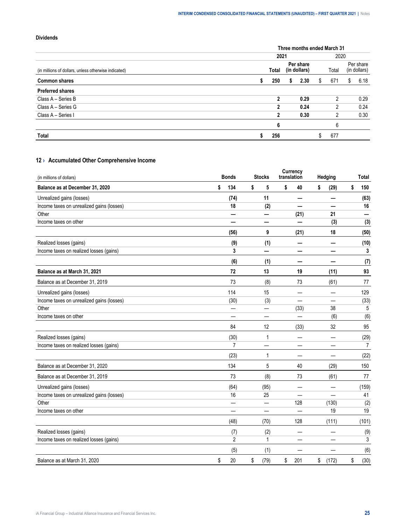#### <span id="page-24-0"></span>**Dividends**

|                                                      |       |   | Three months ended March 31 |       |    |                           |
|------------------------------------------------------|-------|---|-----------------------------|-------|----|---------------------------|
|                                                      | 2021  |   |                             | 2020  |    |                           |
| (in millions of dollars, unless otherwise indicated) | Total |   | Per share<br>(in dollars)   | Total |    | Per share<br>(in dollars) |
| <b>Common shares</b>                                 | 250   | s | 2.30                        | 671   | S. | 6.18                      |
| <b>Preferred shares</b>                              |       |   |                             |       |    |                           |
| Class A - Series B                                   |       |   | 0.29                        |       |    | 0.29                      |
| Class A - Series G                                   | n     |   | 0.24                        |       |    | 0.24                      |
| Class A - Series I                                   |       |   | 0.30                        | 2     |    | 0.30                      |
|                                                      | 6     |   |                             | n     |    |                           |
| Total                                                | 256   |   |                             | 677   |    |                           |

## **12 › Accumulated Other Comprehensive Income**

| (in millions of dollars)                  |    | <b>Bonds</b>             | <b>Stocks</b> | Currency<br>translation |      | Hedging         |    | <b>Total</b> |
|-------------------------------------------|----|--------------------------|---------------|-------------------------|------|-----------------|----|--------------|
| Balance as at December 31, 2020           | \$ | 134                      | \$<br>5       | \$                      | 40   | \$<br>(29)      | \$ | 150          |
| Unrealized gains (losses)                 |    | (74)                     | 11            |                         |      |                 |    | (63)         |
| Income taxes on unrealized gains (losses) |    | 18                       | (2)           |                         |      |                 |    | 16           |
| Other                                     |    |                          |               |                         | (21) | 21              |    |              |
| Income taxes on other                     |    |                          |               |                         |      | (3)             |    | (3)          |
|                                           |    | (56)                     | 9             |                         | (21) | 18              |    | (50)         |
| Realized losses (gains)                   |    | (9)                      | (1)           |                         |      | —               |    | (10)         |
| Income taxes on realized losses (gains)   |    | 3                        |               |                         |      |                 |    | 3            |
|                                           |    | (6)                      | (1)           |                         | –    | -               |    | (7)          |
| Balance as at March 31, 2021              |    | 72                       | 13            |                         | 19   | (11)            |    | 93           |
| Balance as at December 31, 2019           |    | 73                       | (8)           |                         | 73   | (61)            |    | 77           |
| Unrealized gains (losses)                 |    | 114                      | 15            |                         |      |                 |    | 129          |
| Income taxes on unrealized gains (losses) |    | (30)                     | (3)           |                         |      |                 |    | (33)         |
| Other                                     |    |                          | —             |                         | (33) | 38              |    | 5            |
| Income taxes on other                     |    | $\overline{\phantom{a}}$ | —             |                         |      | (6)             |    | (6)          |
|                                           |    | 84                       | 12            |                         | (33) | 32              |    | 95           |
| Realized losses (gains)                   |    | (30)                     | 1             |                         |      | $\qquad \qquad$ |    | (29)         |
| Income taxes on realized losses (gains)   |    | $\overline{7}$           |               |                         |      |                 |    | 7            |
|                                           |    | (23)                     | 1             |                         | —    | —               |    | (22)         |
| Balance as at December 31, 2020           |    | 134                      | 5             |                         | 40   | (29)            |    | 150          |
| Balance as at December 31, 2019           |    | 73                       | (8)           |                         | 73   | (61)            |    | 77           |
| Unrealized gains (losses)                 |    | (64)                     | (95)          |                         |      |                 |    | (159)        |
| Income taxes on unrealized gains (losses) |    | 16                       | 25            |                         |      |                 |    | 41           |
| Other                                     |    |                          |               |                         | 128  | (130)           |    | (2)          |
| Income taxes on other                     |    |                          |               |                         | —    | 19              |    | 19           |
|                                           |    | (48)                     | (70)          |                         | 128  | (111)           |    | (101)        |
| Realized losses (gains)                   |    | (7)                      | (2)           |                         |      |                 |    | (9)          |
| Income taxes on realized losses (gains)   |    | $\overline{2}$           | $\mathbf{1}$  |                         |      |                 |    | 3            |
|                                           |    | (5)                      | (1)           |                         |      |                 |    | (6)          |
| Balance as at March 31, 2020              | \$ | 20                       | \$<br>(79)    | \$                      | 201  | \$<br>(172)     | \$ | (30)         |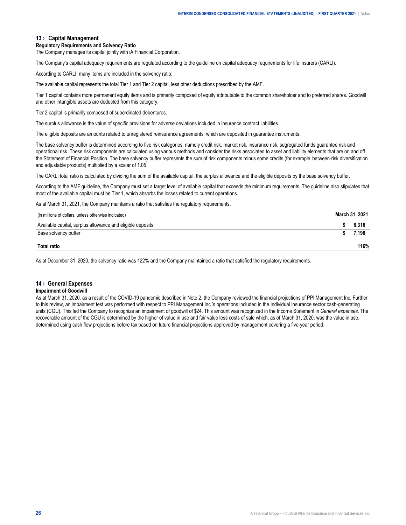#### <span id="page-25-0"></span>**13 › Capital Management**

#### **Regulatory Requirements and Solvency Ratio**

The Company manages its capital jointly with iA Financial Corporation.

The Company's capital adequacy requirements are regulated according to the guideline on capital adequacy requirements for life insurers (CARLI).

According to CARLI, many items are included in the solvency ratio:

The available capital represents the total Tier 1 and Tier 2 capital, less other deductions prescribed by the AMF.

Tier 1 capital contains more permanent equity items and is primarily composed of equity attributable to the common shareholder and to preferred shares. Goodwill and other intangible assets are deducted from this category.

Tier 2 capital is primarily composed of subordinated debentures.

The surplus allowance is the value of specific provisions for adverse deviations included in insurance contract liabilities.

The eligible deposits are amounts related to unregistered reinsurance agreements, which are deposited in guarantee instruments.

The base solvency buffer is determined according to five risk categories, namely credit risk, market risk, insurance risk, segregated funds guarantee risk and operational risk. These risk components are calculated using various methods and consider the risks associated to asset and liability elements that are on and off the Statement of Financial Position. The base solvency buffer represents the sum of risk components minus some credits (for example, between-risk diversification and adjustable products) multiplied by a scalar of 1.05.

The CARLI total ratio is calculated by dividing the sum of the available capital, the surplus allowance and the eligible deposits by the base solvency buffer.

According to the AMF guideline, the Company must set a target level of available capital that exceeds the minimum requirements. The guideline also stipulates that most of the available capital must be Tier 1, which absorbs the losses related to current operations.

As at March 31, 2021, the Company maintains a ratio that satisfies the regulatory requirements.

| (in millions of dollars, unless otherwise indicated)       | March 31, 2021 |  |
|------------------------------------------------------------|----------------|--|
| Available capital, surplus allowance and eligible deposits |                |  |
| Base solvency buffer                                       | 198.'          |  |
| Total ratio                                                | 116%           |  |

As at December 31, 2020, the solvency ratio was 122% and the Company maintained a ratio that satisfied the regulatory requirements.

#### **14 › General Expenses**

#### **Impairment of Goodwill**

As at March 31, 2020, as a result of the COVID-19 pandemic described in Note 2, the Company reviewed the financial projections of PPI Management Inc. Further to this review, an impairment test was performed with respect to PPI Management Inc.'s operations included in the Individual Insurance sector cash-generating units (CGU). This led the Company to recognize an impairment of goodwill of \$24. This amount was recognized in the Income Statement in *General expenses*. The recoverable amount of the CGU is determined by the higher of value in use and fair value less costs of sale which, as of March 31, 2020, was the value in use, determined using cash flow projections before tax based on future financial projections approved by management covering a five-year period.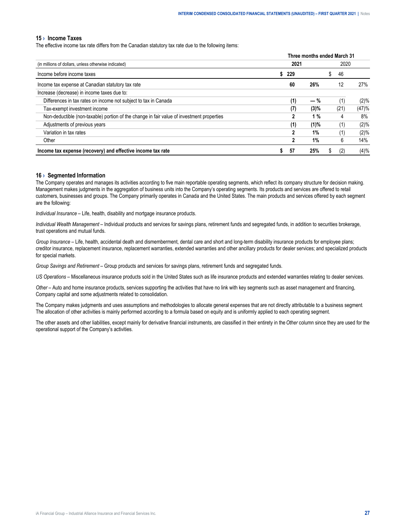#### <span id="page-26-0"></span>**15 › Income Taxes**

The effective income tax rate differs from the Canadian statutory tax rate due to the following items:

|                                                                                           |      | Three months ended March 31 |           |         |
|-------------------------------------------------------------------------------------------|------|-----------------------------|-----------|---------|
| (in millions of dollars, unless otherwise indicated)                                      | 2021 |                             | 2020      |         |
| Income before income taxes                                                                | 229  |                             | \$<br>-46 |         |
| Income tax expense at Canadian statutory tax rate                                         | 60   | 26%                         | 12        | 27%     |
| Increase (decrease) in income taxes due to:                                               |      |                             |           |         |
| Differences in tax rates on income not subject to tax in Canada                           | (1)  | $-$ %                       | (1)       | $(2)\%$ |
| Tax-exempt investment income                                                              | (7)  | (3)%                        | (21)      | (47)%   |
| Non-deductible (non-taxable) portion of the change in fair value of investment properties | 2    | 1%                          | 4         | 8%      |
| Adjustments of previous years                                                             | (1)  | (1)%                        | (1)       | $(2)\%$ |
| Variation in tax rates                                                                    |      | 1%                          | (1)       | (2)%    |
| Other                                                                                     |      | 1%                          | 6         | 14%     |
| Income tax expense (recovery) and effective income tax rate                               | 57   | 25%                         | (2)       | (4)%    |

#### **16 › Segmented Information**

The Company operates and manages its activities according to five main reportable operating segments, which reflect its company structure for decision making. Management makes judgments in the aggregation of business units into the Company's operating segments. Its products and services are offered to retail customers, businesses and groups. The Company primarily operates in Canada and the United States. The main products and services offered by each segment are the following:

*Individual Insurance* – Life, health, disability and mortgage insurance products.

*Individual Wealth Management* – Individual products and services for savings plans, retirement funds and segregated funds, in addition to securities brokerage, trust operations and mutual funds.

*Group Insurance* – Life, health, accidental death and dismemberment, dental care and short and long-term disability insurance products for employee plans; creditor insurance, replacement insurance, replacement warranties, extended warranties and other ancillary products for dealer services; and specialized products for special markets.

*Group Savings and Retirement* – Group products and services for savings plans, retirement funds and segregated funds.

*US Operations* – Miscellaneous insurance products sold in the United States such as life insurance products and extended warranties relating to dealer services.

*Other* – Auto and home insurance products, services supporting the activities that have no link with key segments such as asset management and financing, Company capital and some adjustments related to consolidation.

The Company makes judgments and uses assumptions and methodologies to allocate general expenses that are not directly attributable to a business segment. The allocation of other activities is mainly performed according to a formula based on equity and is uniformly applied to each operating segment.

The other assets and other liabilities, except mainly for derivative financial instruments, are classified in their entirety in the *Other* column since they are used for the operational support of the Company's activities.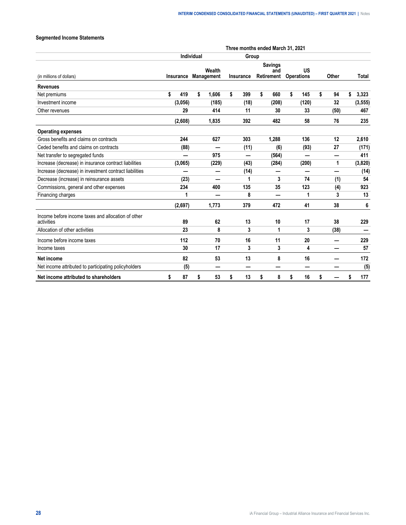## **Segmented Income Statements**

|                                                                  | Three months ended March 31, 2021 |           |                   |                      |    |                          |    |                                     |    |                         |    |       |    |          |
|------------------------------------------------------------------|-----------------------------------|-----------|-------------------|----------------------|----|--------------------------|----|-------------------------------------|----|-------------------------|----|-------|----|----------|
|                                                                  |                                   |           | <b>Individual</b> |                      |    | Group                    |    |                                     |    |                         |    |       |    |          |
| (in millions of dollars)                                         |                                   | Insurance |                   | Wealth<br>Management |    | Insurance                |    | <b>Savings</b><br>and<br>Retirement |    | US<br><b>Operations</b> |    | Other |    | Total    |
| <b>Revenues</b>                                                  |                                   |           |                   |                      |    |                          |    |                                     |    |                         |    |       |    |          |
| Net premiums                                                     | \$                                | 419       | \$                | 1,606                | \$ | 399                      | \$ | 660                                 | \$ | 145                     | \$ | 94    | \$ | 3,323    |
| Investment income                                                |                                   | (3,056)   |                   | (185)                |    | (18)                     |    | (208)                               |    | (120)                   |    | 32    |    | (3, 555) |
| Other revenues                                                   |                                   | 29        |                   | 414                  |    | 11                       |    | 30                                  |    | 33                      |    | (50)  |    | 467      |
|                                                                  |                                   | (2,608)   |                   | 1,835                |    | 392                      |    | 482                                 |    | 58                      |    | 76    |    | 235      |
| <b>Operating expenses</b>                                        |                                   |           |                   |                      |    |                          |    |                                     |    |                         |    |       |    |          |
| Gross benefits and claims on contracts                           |                                   | 244       |                   | 627                  |    | 303                      |    | 1,288                               |    | 136                     |    | 12    |    | 2,610    |
| Ceded benefits and claims on contracts                           |                                   | (88)      |                   |                      |    | (11)                     |    | (6)                                 |    | (93)                    |    | 27    |    | (171)    |
| Net transfer to segregated funds                                 |                                   |           |                   | 975                  |    | $\overline{\phantom{0}}$ |    | (564)                               |    | —                       |    |       |    | 411      |
| Increase (decrease) in insurance contract liabilities            |                                   | (3,065)   |                   | (229)                |    | (43)                     |    | (284)                               |    | (200)                   |    | 1     |    | (3,820)  |
| Increase (decrease) in investment contract liabilities           |                                   |           |                   |                      |    | (14)                     |    |                                     |    |                         |    |       |    | (14)     |
| Decrease (increase) in reinsurance assets                        |                                   | (23)      |                   | —                    |    | 1                        |    | 3                                   |    | 74                      |    | (1)   |    | 54       |
| Commissions, general and other expenses                          |                                   | 234       |                   | 400                  |    | 135                      |    | 35                                  |    | 123                     |    | (4)   |    | 923      |
| Financing charges                                                |                                   | 1         |                   |                      |    | 8                        |    |                                     |    | 1                       |    | 3     |    | 13       |
|                                                                  |                                   | (2,697)   |                   | 1.773                |    | 379                      |    | 472                                 |    | 41                      |    | 38    |    | 6        |
| Income before income taxes and allocation of other<br>activities |                                   | 89        |                   | 62                   |    | 13                       |    | 10                                  |    | 17                      |    | 38    |    | 229      |
| Allocation of other activities                                   |                                   | 23        |                   | 8                    |    | 3                        |    | 1                                   |    | 3                       |    | (38)  |    |          |
| Income before income taxes                                       |                                   | 112       |                   | 70                   |    | 16                       |    | 11                                  |    | 20                      |    |       |    | 229      |
| Income taxes                                                     |                                   | 30        |                   | 17                   |    | 3                        |    | 3                                   |    | 4                       |    | -     |    | 57       |
| Net income                                                       |                                   | 82        |                   | 53                   |    | 13                       |    | 8                                   |    | 16                      |    |       |    | 172      |
| Net income attributed to participating policyholders             |                                   | (5)       |                   | –                    |    |                          |    |                                     |    | —                       |    |       |    | (5)      |
| Net income attributed to shareholders                            | \$                                | 87        | \$                | 53                   | \$ | 13                       | \$ | 8                                   | \$ | 16                      | \$ |       | \$ | 177      |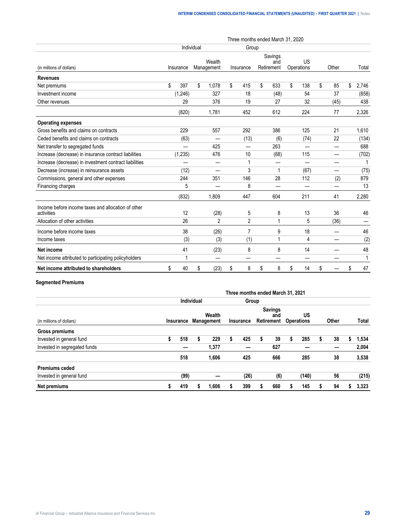|                                                                  |            |                      |       | Three months ended March 31, 2020 |    |                              |    |                         |          |              |
|------------------------------------------------------------------|------------|----------------------|-------|-----------------------------------|----|------------------------------|----|-------------------------|----------|--------------|
|                                                                  | Individual |                      | Group |                                   |    |                              |    |                         |          |              |
| (in millions of dollars)                                         | Insurance  | Wealth<br>Management |       | Insurance                         |    | Savings<br>and<br>Retirement |    | <b>US</b><br>Operations | Other    | Total        |
| <b>Revenues</b>                                                  |            |                      |       |                                   |    |                              |    |                         |          |              |
| Net premiums                                                     | \$<br>397  | \$<br>1.078          | \$    | 415                               | \$ | 633                          | \$ | 138                     | \$<br>85 | \$<br>2,746  |
| Investment income                                                | (1,246)    | 327                  |       | 18                                |    | (48)                         |    | 54                      | 37       | (858)        |
| Other revenues                                                   | 29         | 376                  |       | 19                                |    | 27                           |    | 32                      | (45)     | 438          |
|                                                                  | (820)      | 1.781                |       | 452                               |    | 612                          |    | 224                     | 77       | 2,326        |
| <b>Operating expenses</b>                                        |            |                      |       |                                   |    |                              |    |                         |          |              |
| Gross benefits and claims on contracts                           | 229        | 557                  |       | 292                               |    | 386                          |    | 125                     | 21       | 1,610        |
| Ceded benefits and claims on contracts                           | (63)       |                      |       | (13)                              |    | (6)                          |    | (74)                    | 22       | (134)        |
| Net transfer to segregated funds                                 |            | 425                  |       |                                   |    | 263                          |    |                         | —        | 688          |
| Increase (decrease) in insurance contract liabilities            | (1, 235)   | 476                  |       | 10                                |    | (68)                         |    | 115                     | —        | (702)        |
| Increase (decrease) in investment contract liabilities           |            | —                    |       | 1                                 |    | --                           |    |                         | —        | 1            |
| Decrease (increase) in reinsurance assets                        | (12)       |                      |       | 3                                 |    | 1                            |    | (67)                    | —        | (75)         |
| Commissions, general and other expenses                          | 244        | 351                  |       | 146                               |    | 28                           |    | 112                     | (2)      | 879          |
| Financing charges                                                | 5          |                      |       | 8                                 |    |                              |    |                         |          | 13           |
|                                                                  | (832)      | 1,809                |       | 447                               |    | 604                          |    | 211                     | 41       | 2,280        |
| Income before income taxes and allocation of other<br>activities | 12         | (28)                 |       | 5                                 |    | 8                            |    | 13                      | 36       | 46           |
| Allocation of other activities                                   | 26         | 2                    |       | $\overline{2}$                    |    | 1                            |    | 5                       | (36)     |              |
| Income before income taxes                                       | 38         | (26)                 |       | $\overline{7}$                    |    | 9                            |    | 18                      |          | 46           |
| Income taxes                                                     | (3)        | (3)                  |       | (1)                               |    | 1                            |    | 4                       |          | (2)          |
| Net income                                                       | 41         | (23)                 |       | 8                                 |    | 8                            |    | 14                      |          | 48           |
| Net income attributed to participating policyholders             | 1          |                      |       |                                   |    |                              |    |                         |          | $\mathbf{1}$ |
| Net income attributed to shareholders                            | \$<br>40   | \$<br>(23)           | \$    | 8                                 | \$ | 8                            | \$ | 14                      | \$       | \$<br>47     |

#### **Segmented Premiums**

|                              |   |      |                                |       |           | Three months ended March 31, 2021 |   |                                     |   |                         |   |       |       |
|------------------------------|---|------|--------------------------------|-------|-----------|-----------------------------------|---|-------------------------------------|---|-------------------------|---|-------|-------|
|                              |   |      | Individual                     |       |           | Group                             |   |                                     |   |                         |   |       |       |
| (in millions of dollars)     |   |      | Wealth<br>Insurance Management |       | Insurance |                                   |   | <b>Savings</b><br>and<br>Retirement |   | US<br><b>Operations</b> |   | Other | Total |
| Gross premiums               |   |      |                                |       |           |                                   |   |                                     |   |                         |   |       |       |
| Invested in general fund     | 5 | 518  | s                              | 229   | S         | 425                               | S | 39                                  | S | 285                     | 5 | 38    | 1,534 |
| Invested in segregated funds |   |      |                                | 1,377 |           |                                   |   | 627                                 |   |                         |   |       | 2,004 |
|                              |   | 518  |                                | 1,606 |           | 425                               |   | 666                                 |   | 285                     |   | 38    | 3,538 |
| <b>Premiums ceded</b>        |   |      |                                |       |           |                                   |   |                                     |   |                         |   |       |       |
| Invested in general fund     |   | (99) |                                |       |           | (26)                              |   | (6)                                 |   | (140)                   |   | 56    | (215) |
| Net premiums                 |   | 419  |                                | 1,606 |           | 399                               |   | 660                                 |   | 145                     |   | 94    | 3,323 |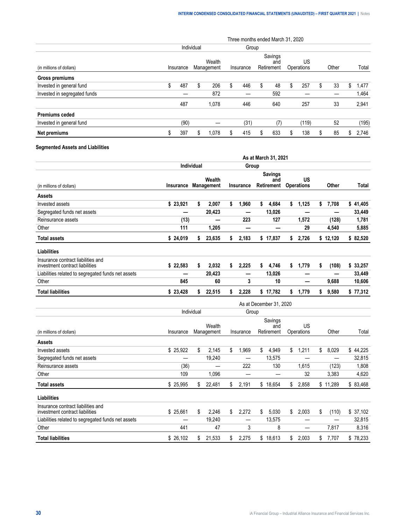|                              |                     |           |    |                      |   | Three months ended March 31, 2020 |    |                              |   |                  |   |       |     |       |
|------------------------------|---------------------|-----------|----|----------------------|---|-----------------------------------|----|------------------------------|---|------------------|---|-------|-----|-------|
|                              | Group<br>Individual |           |    |                      |   |                                   |    |                              |   |                  |   |       |     |       |
| (in millions of dollars)     |                     | Insurance |    | Wealth<br>Management |   | Insurance                         |    | Savings<br>and<br>Retirement |   | US<br>Operations |   | Other |     | Total |
| Gross premiums               |                     |           |    |                      |   |                                   |    |                              |   |                  |   |       |     |       |
| Invested in general fund     | S                   | 487       | \$ | 206                  | S | 446                               | \$ | 48                           | S | 257              | S | 33    | \$. | 1.477 |
| Invested in segregated funds |                     |           |    | 872                  |   |                                   |    | 592                          |   |                  |   |       |     | 1,464 |
|                              |                     | 487       |    | 1,078                |   | 446                               |    | 640                          |   | 257              |   | 33    |     | 2,941 |
| <b>Premiums ceded</b>        |                     |           |    |                      |   |                                   |    |                              |   |                  |   |       |     |       |
| Invested in general fund     |                     | (90)      |    |                      |   | (31)                              |    | (7)                          |   | (119)            |   | 52    |     | (195) |
| Net premiums                 |                     | 397       | \$ | 1,078                |   | 415                               | S  | 633                          | S | 138              |   | 85    | S   | 2,746 |

#### **Segmented Assets and Liabilities**

|                                                                       |           |                      |                  | As at March 31, 2021                |                         |             |          |
|-----------------------------------------------------------------------|-----------|----------------------|------------------|-------------------------------------|-------------------------|-------------|----------|
|                                                                       |           | Individual           | Group            |                                     |                         |             |          |
| (in millions of dollars)                                              | Insurance | Wealth<br>Management | <b>Insurance</b> | <b>Savings</b><br>and<br>Retirement | US<br><b>Operations</b> | Other       | Total    |
| <b>Assets</b>                                                         |           |                      |                  |                                     |                         |             |          |
| Invested assets                                                       | \$23,921  | \$<br>2,007          | \$<br>1,960      | \$<br>4,684                         | \$<br>1,125             | \$<br>7,708 | \$41,405 |
| Segregated funds net assets                                           | --        | 20,423               | –                | 13,026                              |                         |             | 33,449   |
| Reinsurance assets                                                    | (13)      |                      | 223              | 127                                 | 1,572                   | (128)       | 1,781    |
| Other                                                                 | 111       | 1,205                | -                |                                     | 29                      | 4,540       | 5,885    |
| <b>Total assets</b>                                                   | \$24,019  | 23,635<br>\$         | \$<br>2,183      | \$17,837                            | 2,726<br>\$             | \$12,120    | \$82,520 |
| <b>Liabilities</b>                                                    |           |                      |                  |                                     |                         |             |          |
| Insurance contract liabilities and<br>investment contract liabilities | \$22,583  | \$<br>2,032          | \$<br>2,225      | 4,746<br>\$                         | 1,779<br>\$             | \$<br>(108) | \$33,257 |
| Liabilities related to segregated funds net assets                    |           | 20,423               | –                | 13,026                              | -                       |             | 33,449   |
| Other                                                                 | 845       | 60                   | 3                | 10                                  | –                       | 9,688       | 10,606   |
| <b>Total liabilities</b>                                              | \$23,428  | 22,515<br>\$         | 2,228<br>\$      | \$17,782                            | 1,779<br>\$             | \$<br>9,580 | \$77,312 |
|                                                                       |           |                      |                  | As at December 31, 2020             |                         |             |          |
|                                                                       |           | Individual           |                  | Group                               |                         |             |          |
|                                                                       |           | Wealth               |                  | Savings<br>and                      | US                      |             |          |
| (in millions of dollars)                                              | Insurance | Management           | Insurance        | Retirement                          | Operations              | Other       | Total    |
| <b>Assets</b>                                                         |           |                      |                  |                                     |                         |             |          |
| Invested assets                                                       | \$25,922  | \$<br>2,145          | \$<br>1,969      | \$<br>4,949                         | 1,211<br>\$             | \$<br>8,029 | \$44,225 |
| Segregated funds net assets                                           | —         | 19,240               | —                | 13,575                              |                         |             | 32,815   |
| Reinsurance assets                                                    | (36)      |                      | 222              | 130                                 | 1,615                   | (123)       | 1,808    |
| Other                                                                 | 109       | 1,096                |                  |                                     | 32                      | 3.383       | 4,620    |

**Total assets** \$ 25,995 \$ 22,481 \$ 2,191 \$ 18,654 \$ 2,858 \$ 11,289 \$ 83,468

investment contract liabilities **Example 2018** \$ 25,661 \$ 2,246 \$ 2,272 \$ 5,030 \$ 2,003 \$ (110) \$ 37,102 Liabilities related to segregated funds net assets — 19,240 — 13,575 — — 32,815 Other 441 47 3 8 — 7,817 8,316 **Total liabilities** \$ 26,102 \$ 21,533 \$ 2,275 \$ 18,613 \$ 2,003 \$ 7,707 \$ 78,233

**Liabilities**

Insurance contract liabilities and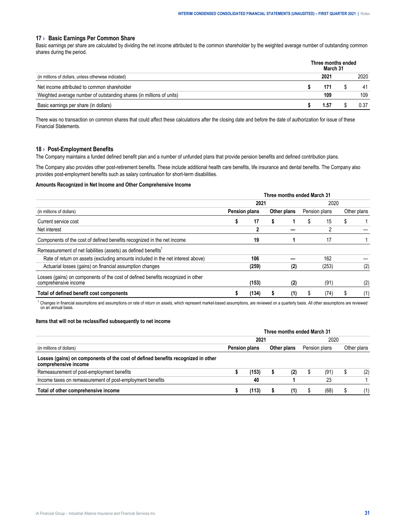#### <span id="page-30-0"></span>**17 › Basic Earnings Per Common Share**

Basic earnings per share are calculated by dividing the net income attributed to the common shareholder by the weighted average number of outstanding common shares during the period.

|                                                                      | Three months ended<br>March 31 |      |
|----------------------------------------------------------------------|--------------------------------|------|
| (in millions of dollars, unless otherwise indicated)                 | 202′                           | 2020 |
| Net income attributed to common shareholder                          |                                |      |
| Weighted average number of outstanding shares (in millions of units) | 109                            | 109  |
| Basic earnings per share (in dollars)                                | . ა                            |      |

There was no transaction on common shares that could affect these calculations after the closing date and before the date of authorization for issue of these Financial Statements.

#### **18 › Post-Employment Benefits**

The Company maintains a funded defined benefit plan and a number of unfunded plans that provide pension benefits and defined contribution plans.

The Company also provides other post-retirement benefits. These include additional health care benefits, life insurance and dental benefits. The Company also provides post-employment benefits such as salary continuation for short-term disabilities.

#### **Amounts Recognized in Net Income and Other Comprehensive Income**

|                                                                                                          | Three months ended March 31 |       |  |             |      |               |             |     |  |  |
|----------------------------------------------------------------------------------------------------------|-----------------------------|-------|--|-------------|------|---------------|-------------|-----|--|--|
|                                                                                                          |                             | 2021  |  |             | 2020 |               |             |     |  |  |
| (in millions of dollars)                                                                                 | <b>Pension plans</b>        |       |  | Other plans |      | Pension plans | Other plans |     |  |  |
| Current service cost                                                                                     |                             | 17    |  |             |      | 15            |             |     |  |  |
| Net interest                                                                                             |                             |       |  |             |      |               |             |     |  |  |
| Components of the cost of defined benefits recognized in the net income                                  |                             | 19    |  |             |      | 17            |             |     |  |  |
| Remeasurement of net liabilities (assets) as defined benefits <sup>1</sup>                               |                             |       |  |             |      |               |             |     |  |  |
| Rate of return on assets (excluding amounts included in the net interest above)                          |                             | 106   |  |             |      | 162           |             |     |  |  |
| Actuarial losses (gains) on financial assumption changes                                                 |                             | (259) |  | (2)         |      | (253)         |             | (2) |  |  |
| Losses (gains) on components of the cost of defined benefits recognized in other<br>comprehensive income |                             | (153) |  | (2)         |      | (91)          |             | (2) |  |  |
| Total of defined benefit cost components                                                                 |                             | (134) |  | (1)         |      | (74)          |             | (1) |  |  |

<sup>1</sup> Changes in financial assumptions and assumptions on rate of return on assets, which represent market-based assumptions, are reviewed on a quarterly basis. All other assumptions are reviewed on an annual basis.

#### **Items that will not be reclassified subsequently to net income**

|                                                                                                                                      | Three months ended March 31 |               |  |             |  |               |  |             |  |  |
|--------------------------------------------------------------------------------------------------------------------------------------|-----------------------------|---------------|--|-------------|--|---------------|--|-------------|--|--|
|                                                                                                                                      |                             | 2021          |  |             |  | 2020          |  |             |  |  |
| (in millions of dollars)<br>Losses (gains) on components of the cost of defined benefits recognized in other<br>comprehensive income |                             | Pension plans |  | Other plans |  | Pension plans |  | Other plans |  |  |
|                                                                                                                                      |                             |               |  |             |  |               |  |             |  |  |
| Remeasurement of post-employment benefits                                                                                            |                             |               |  |             |  |               |  |             |  |  |
| Income taxes on remeasurement of post-employment benefits                                                                            |                             | 40            |  |             |  |               |  |             |  |  |
| Total of other comprehensive income                                                                                                  |                             |               |  |             |  |               |  |             |  |  |